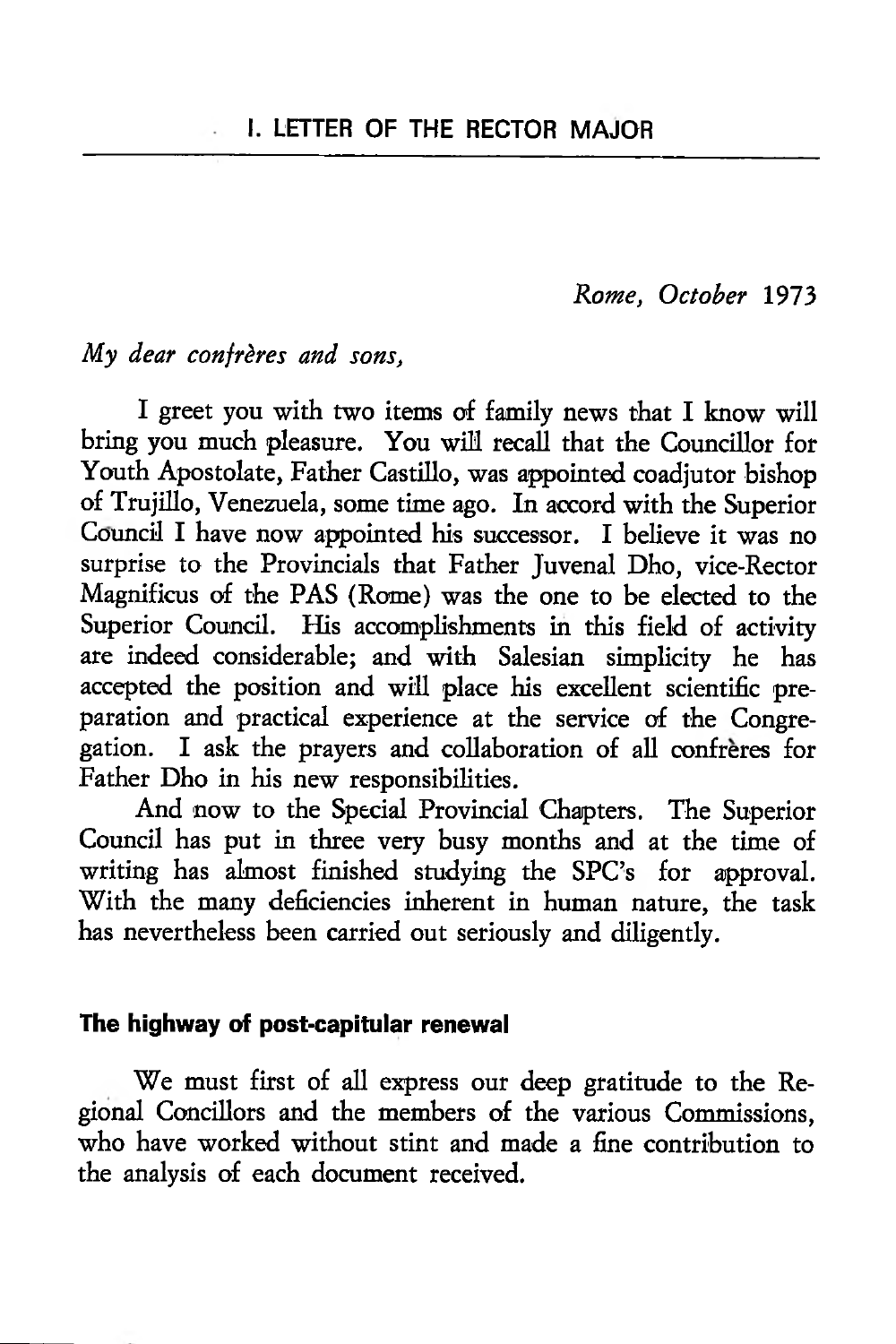*Rome, October* 1973

## *My dear confreres and sons,*

÷.

I greet you with two items of family news that I know will bring you much pleasure. You will recall that the Councillor for Youth Apostolate, Father Castillo, was appointed coadjutor bishop of Trujillo, Venezuela, some time ago. In accord with the Superior Council I have now appointed his successor. I believe it was no surprise to the Provincials that Father Juvenal Dho, vice-Rector Magnificus of the PAS (Rome) was the one to be elected to the Superior Council. His accomplishments in this field of activity are indeed considerable; and with Salesian simplicity he has accepted the position and will place his excellent scientific preparation and practical experience at the service of the Congregation. I ask the prayers and collaboration of all confreres for Father Dho in his new responsibilities.

And now to the Special Provincial Chapters. The Superior Council has put in three very busy months and at the time of writing has almost finished studying the SPC's for approval. With the many deficiencies inherent in human nature, the task has nevertheless been carried out seriously and diligently.

#### **The highway of post-capitular renewal**

We must first of all express our deep gratitude to the Regional Concillors and the members of the various Commissions, who have worked without stint and made a fine contribution to the analysis of each document received.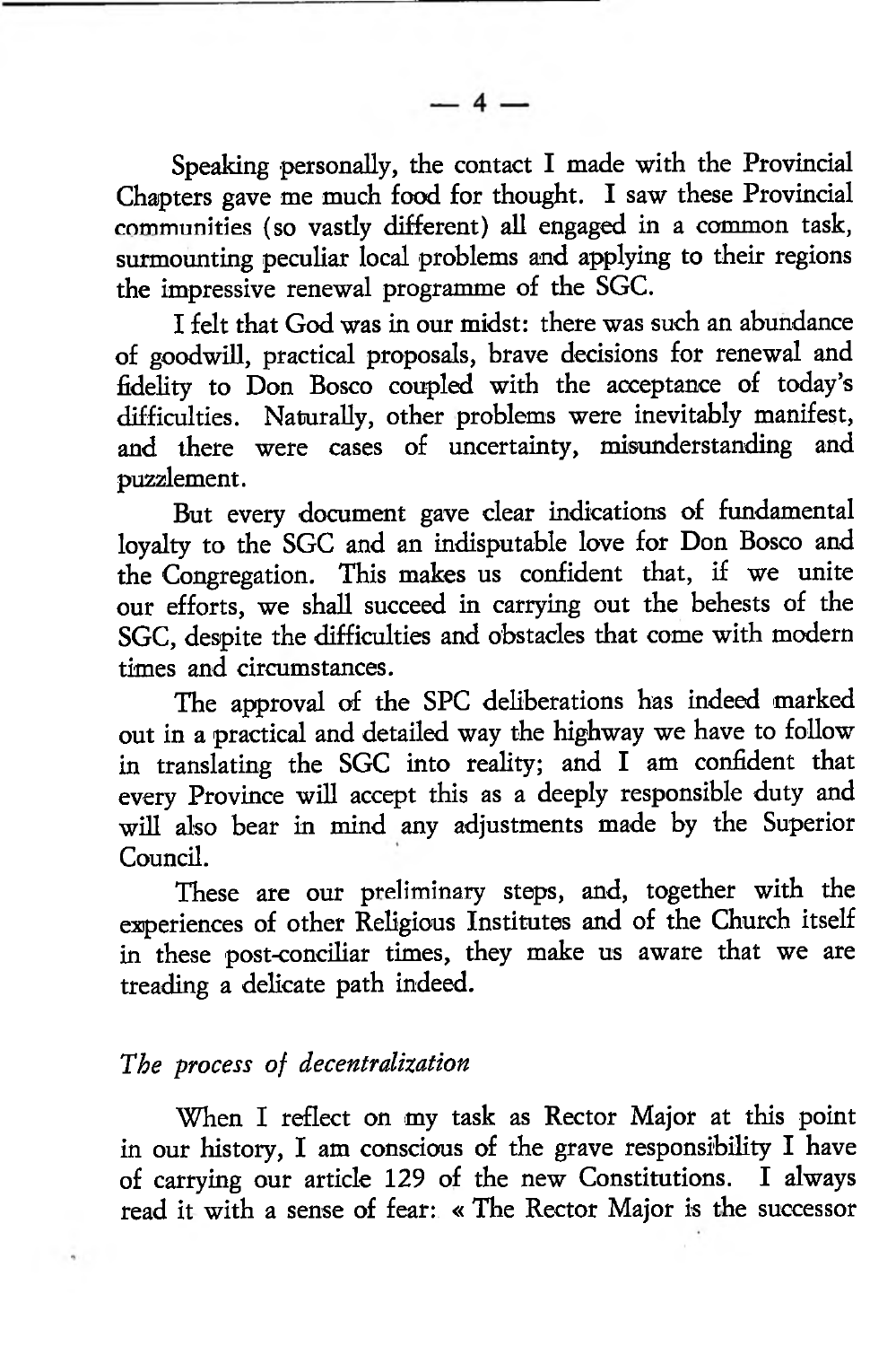Speaking personally, the contact I made with the Provincial Chapters gave me much food for thought. I saw these Provincial communities (so vastly different) all engaged in a common task, surmounting peculiar local problems and applying to their regions the impressive renewal programme of the SGC.

I felt that God was in our midst: there was such an abundance of goodwill, practical proposals, brave decisions for renewal and fidelity to Don Bosco coupled with the acceptance of today's difficulties. Naturally, other problems were inevitably manifest, and there were cases of uncertainty, misunderstanding and puzzlement.

But every document gave clear indications of fundamental loyalty to the SGC and an indisputable love for Don Bosco and the Congregation. This makes us confident that, if we unite our efforts, we shall succeed in carrying out the behests of the SGC, despite the difficulties and obstacles that come with modern times and circumstances.

The approval of the SPC deliberations has indeed marked out in a practical and detailed way the highway we have to follow in translating the SGC into reality; and I am confident that every Province will accept this as a deeply responsible duty and will also bear in mind any adjustments made by the Superior Council.

These are our preliminary steps, and, together with the experiences of other Religious Institutes and of the Church itself in these post-conciliar times, they make us aware that we are treading a delicate path indeed.

## *The process of decentralization*

When I reflect on my task as Rector Major at this point in our history, I am conscious of the grave responsibility I have of carrying our article 129 of the new Constitutions. I always read it with a sense of fear: « The Rector Major is the successor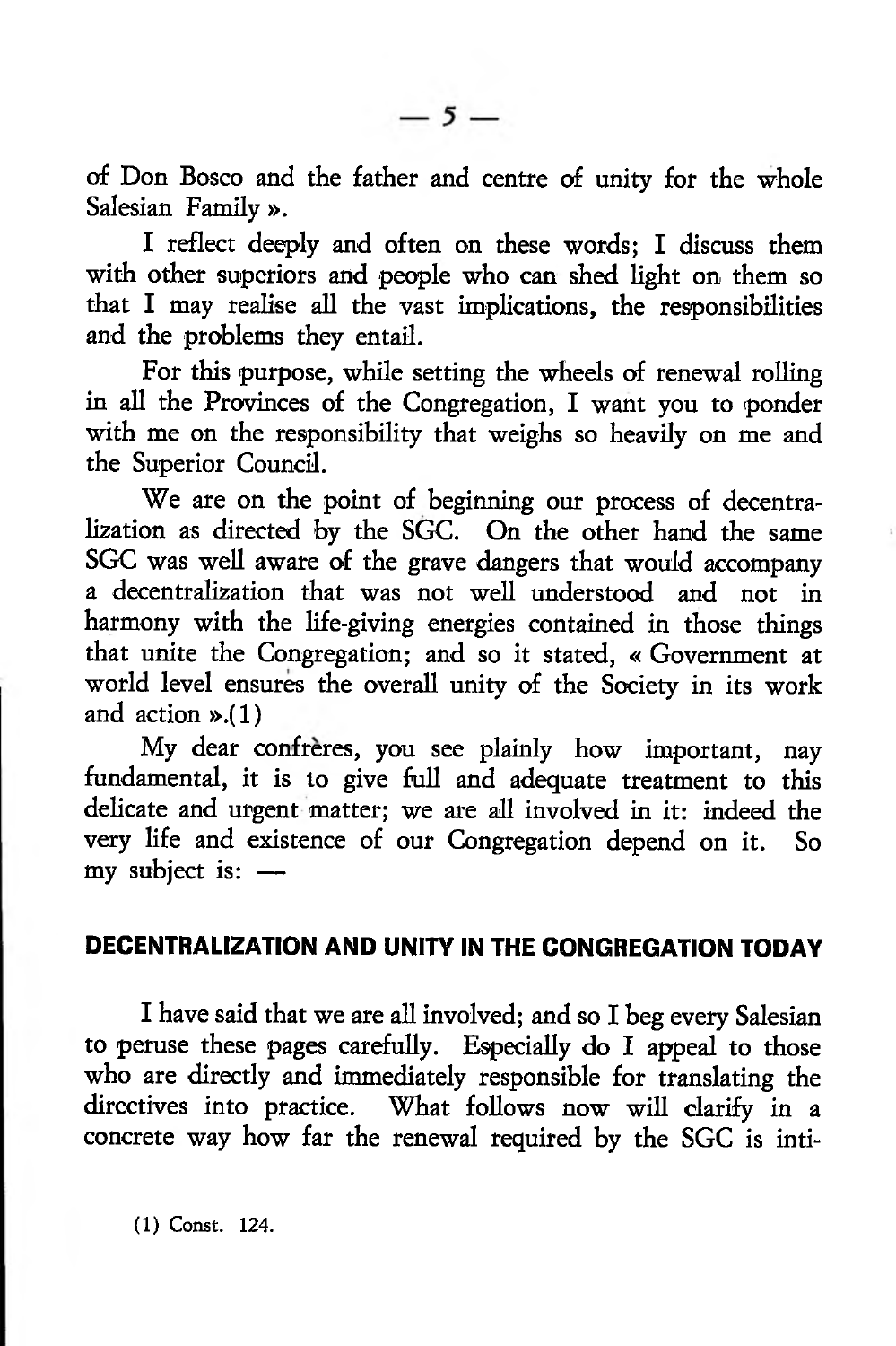of Don Bosco and the father and centre of unity for the whole Salesian Family ».

I reflect deeply and often on these words; I discuss them with other superiors and people who can shed light on them so that I may realise all the vast implications, the responsibilities and the problems they entail.

For this purpose, while setting the wheels of renewal rolling in all the Provinces of the Congregation, I want you to ponder with me on the responsibility that weighs so heavily on me and the Superior Council.

We are on the point of beginning our process of decentralization as directed by the SGC. On the other hand the same SGC was well aware of the grave dangers that would accompany a decentralization that was not well understood and not in harmony with the life-giving energies contained in those things that unite the Congregation; and so it stated, « Government at world level ensures the overall unity of the Society in its work and action ».(1)

My dear confrères, you see plainly how important, nay fundamental, it is to give full and adequate treatment to this delicate and urgent matter; we are all involved in it: indeed the very life and existence of our Congregation depend on it. So my subject is: —

### **DECENTRALIZATION AND UNITY IN THE CONGREGATION TODAY**

I have said that we are all involved; and so I beg every Salesian to peruse these pages carefully. Especially do I appeal to those who are directly and immediately responsible for translating the directives into practice. What follows now will clarify in a concrete way how far the renewal required by the SGC is inti-

(1) Const. 124.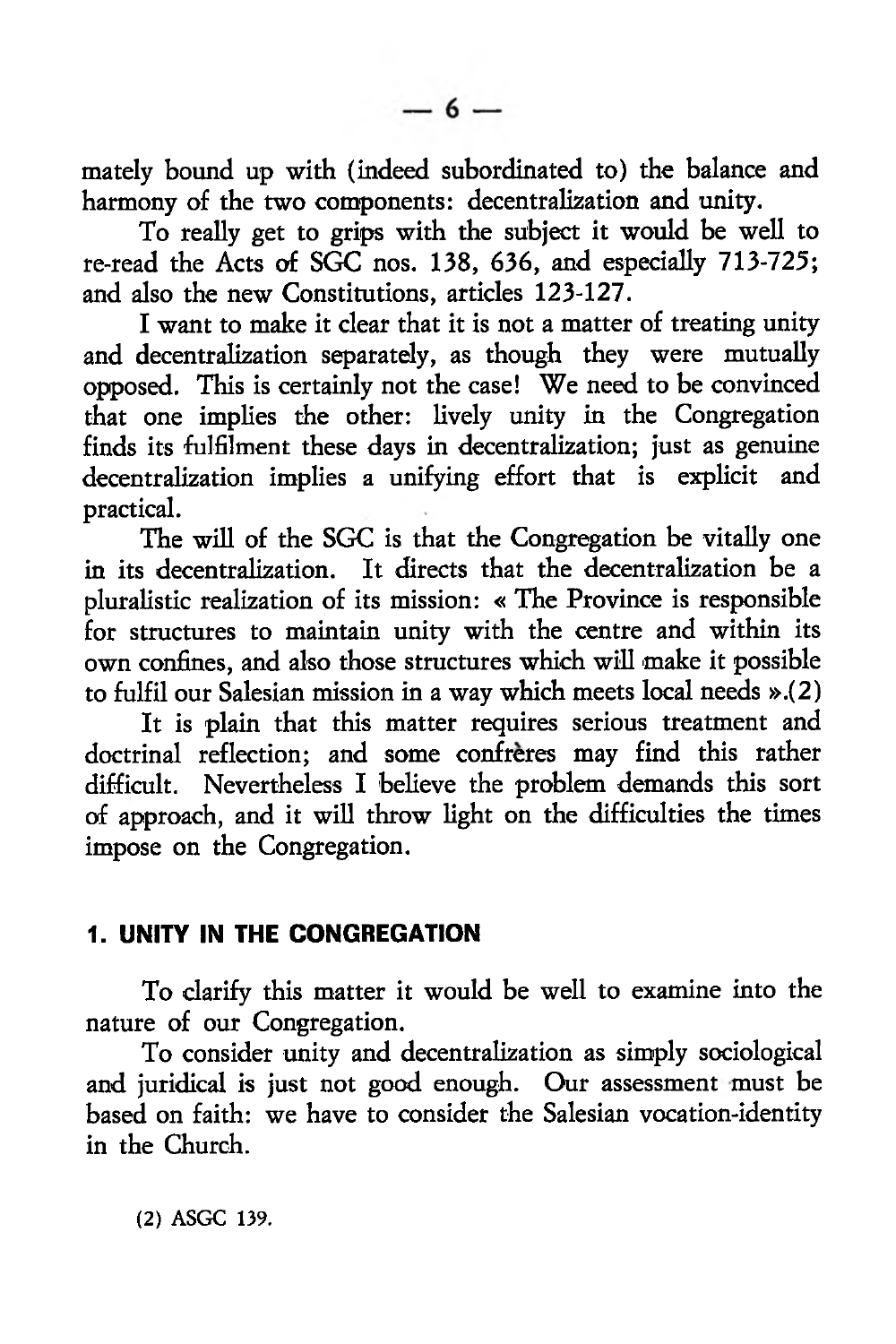mately bound up with (indeed subordinated to) the balance and harmony of the two components: decentralization and unity.

To really get to grips with the subject it would be well to re-read the Acts of SGC nos. 138, 636, and especially 713-725; and also the new Constitutions, articles 123-127.

I want to make it clear that it is not a matter of treating unity and decentralization separately, as though they were mutually opposed. This is certainly not the case! We need to be convinced that one implies the other: lively unity in the Congregation finds its fulfilment these days in decentralization; just as genuine decentralization implies a unifying effort that is explicit and practical.

The will of the SGC is that the Congregation be vitally one in its decentralization. It directs that the decentralization be a pluralistic realization of its mission: « The Province is responsible for structures to maintain unity with the centre and within its own confines, and also those structures which will make it possible to fulfil our Salesian mission in a way which meets local needs ».(2)

It is plain that this matter requires serious treatment and doctrinal reflection; and some confreres may find this rather difficult. Nevertheless I believe the problem demands this sort of approach, and it will throw light on the difficulties the times impose on the Congregation.

## **1. UNITY IN THE CONGREGATION**

To clarify this matter it would be well to examine into the nature of our Congregation.

To consider unity and decentralization as simply sociological and juridical is just not good enough. Our assessment must be based on faith: we have to consider the Salesian vocation-identity in the Church.

(2) ASGC 139.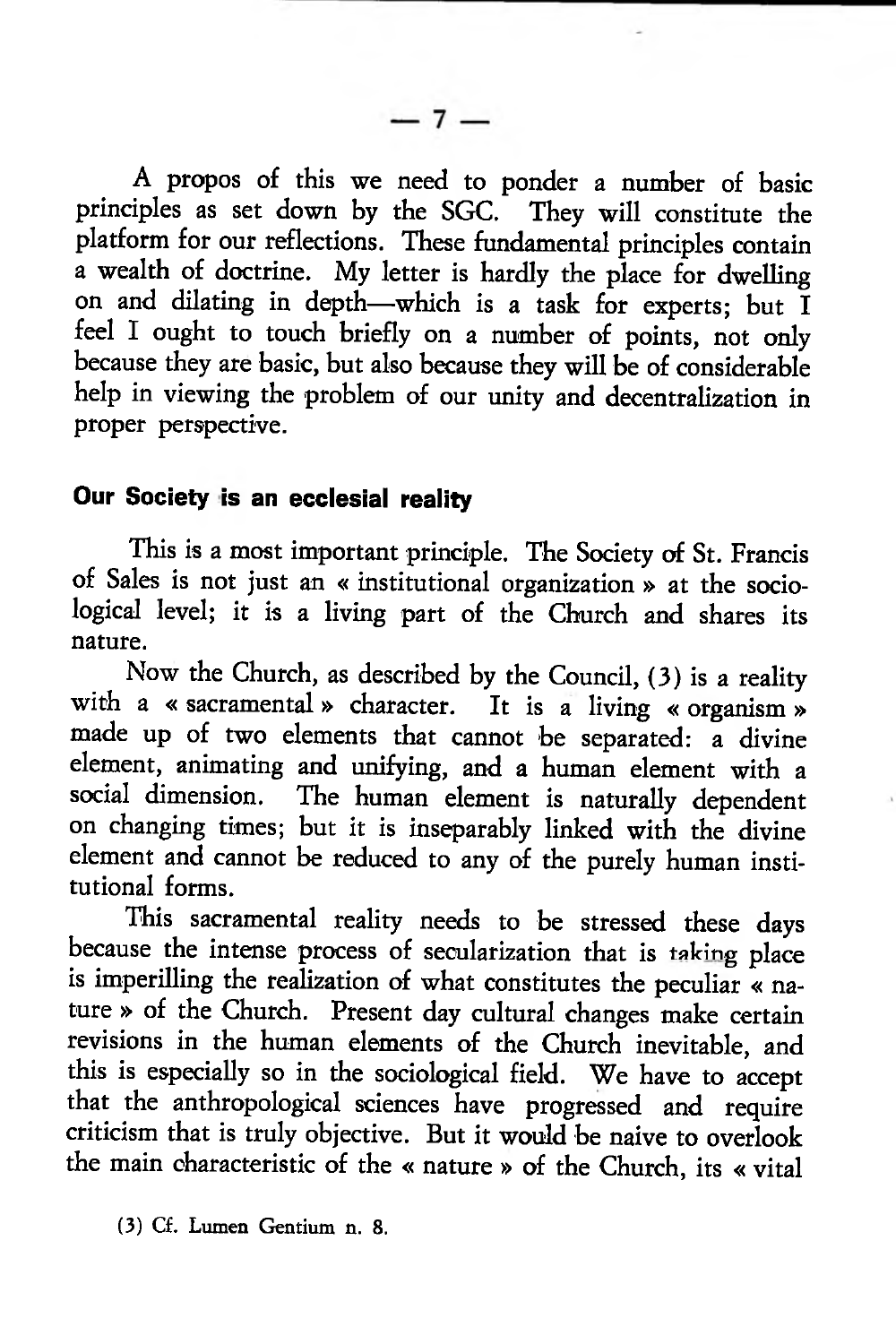$-7-$ 

A propos of this we need to ponder a number of basic principles as set down by the SGC. They will constitute the platform for our reflections. These fundamental principles contain a wealth of doctrine. My letter is hardly the place for dwelling on and dilating in depth—which is a task for experts; but I feel I ought to touch briefly on a number of points, not only because they are basic, but also because they will be of considerable help in viewing the problem of our unity and decentralization in proper perspective.

## **Our Society is an ecclesial reality**

This is a most important principle. The Society of St. Francis of Sales is not just an « institutional organization » at the sociological level; it is a living part of the Church and shares its nature.

Now the Church, as described by the Council, (3) is a reality with a « sacramental » character. It is a living « organism » made up of two elements that cannot be separated: a divine element, animating and unifying, and a human element with a social dimension. The human element is naturally dependent The human element is naturally dependent on changing times; but it is inseparably linked with the divine element and cannot be reduced to any of the purely human institutional forms.

This sacramental reality needs to be stressed these days because the intense process of secularization that is taking place is imperilling the realization of what constitutes the peculiar « nature » of the Church. Present day cultural changes make certain revisions in the human elements of the Church inevitable, and this is especially so in the sociological field. We have to accept that the anthropological sciences have progressed and require criticism that is truly objective. But it would be naive to overlook the main characteristic of the « nature » of the Church, its « vital

<sup>(3)</sup> Cf. Lumen Gentium n. 8.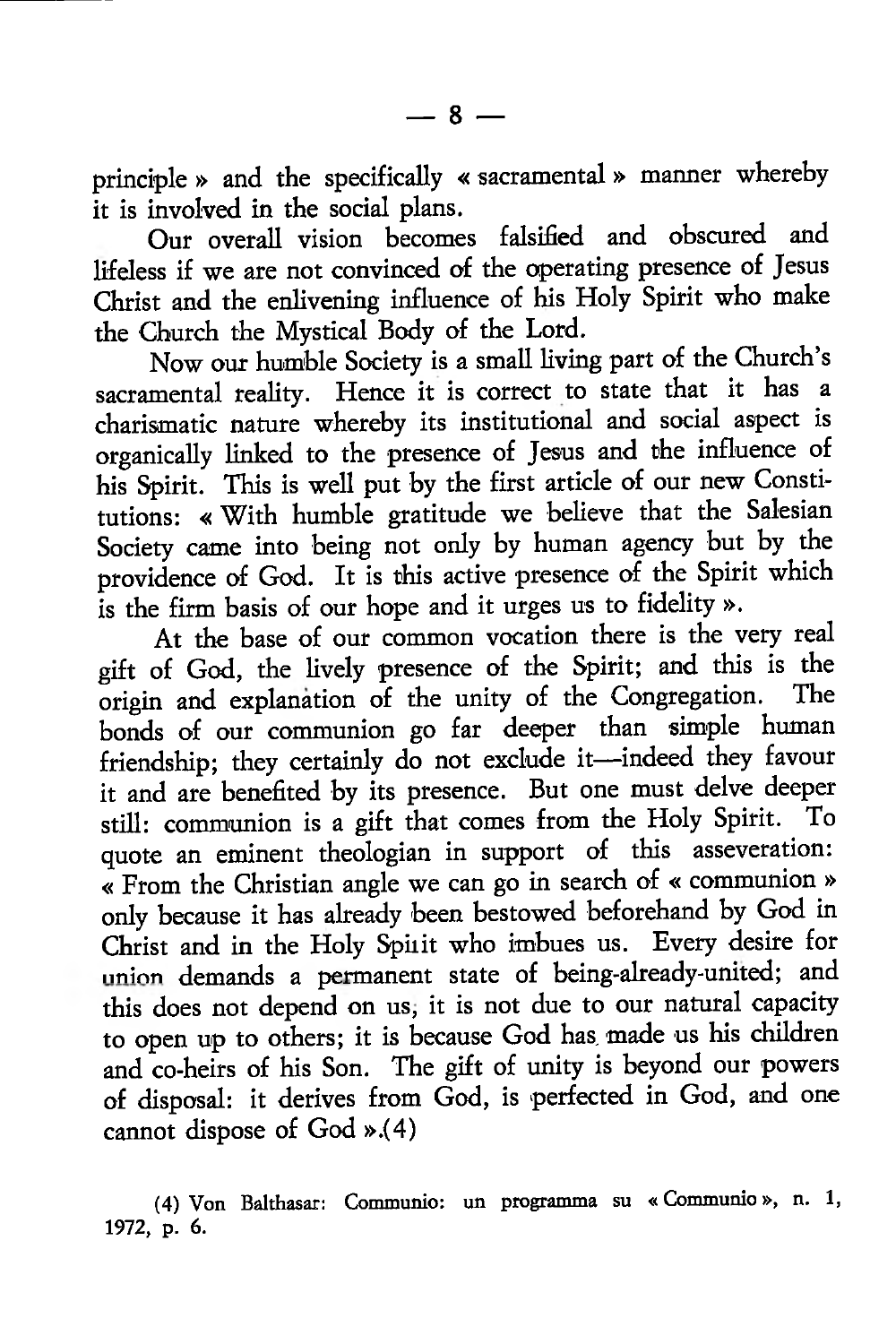principle » and the specifically « sacramental» manner whereby it is involved in the social plans.

Our overall vision becomes falsified and obscured and lifeless if we are not convinced of the operating presence of Jesus Christ and the enlivening influence of his Holy Spirit who make the Church the Mystical Body of the Lord.

Now our humble Society is a small living part of the Church's sacramental reality. Hence it is correct to state that it has a charismatic nature whereby its institutional and social aspect is organically linked to the presence of Jesus and the influence of his Spirit. This is well put by the first article of our new Constitutions: « With humble gratitude we believe that the Salesian Society came into being not only by human agency but by the providence of God. It is this active presence of the Spirit which is the firm basis of our hope and it urges us to fidelity ».

At the base of our common vocation there is the very real gift of God, the lively presence of the Spirit; and this is the origin and explanation of the unity of the Congregation. bonds of our communion go far deeper than simple human friendship; they certainly do not exclude it—indeed they favour it and are benefited by its presence. But one must delve deeper still: communion is a gift that comes from the Holy Spirit. To quote an eminent theologian in support of this asseveration: « From the Christian angle we can go in search of « communion » only because it has already been bestowed beforehand by God in Christ and in the Holy Spirit who imbues us. Every desire for union demands a permanent state of being-already-united; and this does not depend on us, it is not due to our natural capacity to open up to others; it is because God has. made us his children and co-heirs of his Son. The gift of unity is beyond our powers of disposal: it derives from God, is 'perfected in God, and one cannot dispose of God ».(4)

<sup>(4)</sup> Von Balthasar: Communio: un programma su « Communio», n. 1, 1972, p. 6.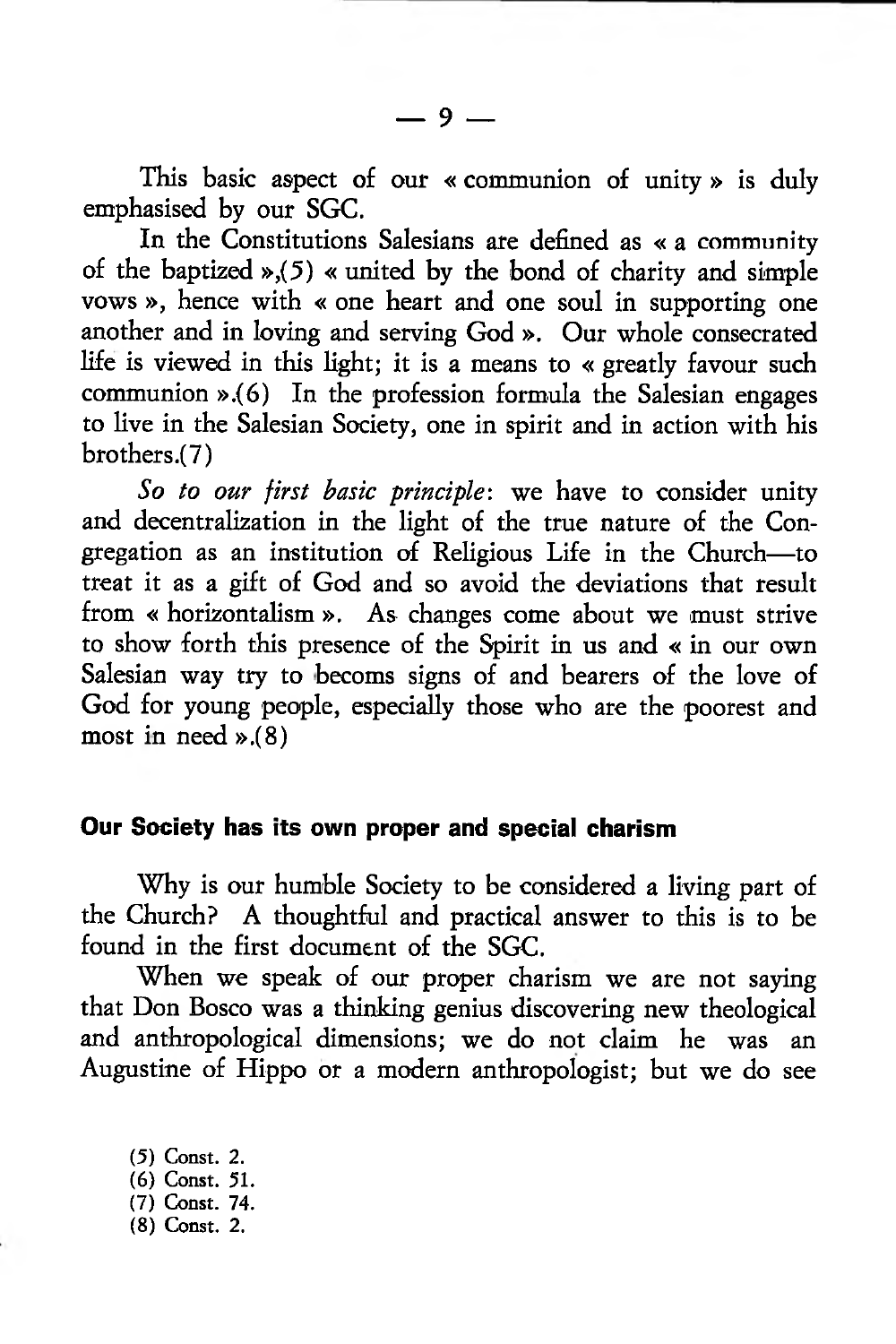This basic aspect of our « communion of unity » is duly emphasised by our SGC.

In the Constitutions Salesians are defined as « a community of the baptized *»,(5)* « united by the bond of charity and simple vows », hence with « one heart and one soul in supporting one another and in loving and serving God ». Our whole consecrated life is viewed in this light; it is a means to « greatly favour such communion ».(6) In the profession formula the Salesian engages to live in the Salesian Society, one in spirit and in action with his brothers .(7)

*So to our first basic principle:* we have to consider unity and decentralization in the light of the true nature of the Congregation as an institution of Religious Life in the Church—to treat it as a gift of God and so avoid the deviations that result from « horizontalism ». As changes come about we must strive to show forth this presence of the Spirit in us and « in our own Salesian way try to becoms signs of and bearers of the love of God for young people, especially those who are the poorest and most in need ».(8)

#### **Our Society has its own proper and special charism**

Why is our humble Society to be considered a living part of the Church? A thoughtful and practical answer to this is to be found in the first document of the SGC.

When we speak of our proper charism we are not saying that Don Bosco was a thinking genius discovering new theological and anthropological dimensions; we do not claim he was an Augustine of Hippo or a modern anthropologist; but we do see

*(5)* Const. 2. (6) Const. 51. (7) Const. 74. (8) Const. 2.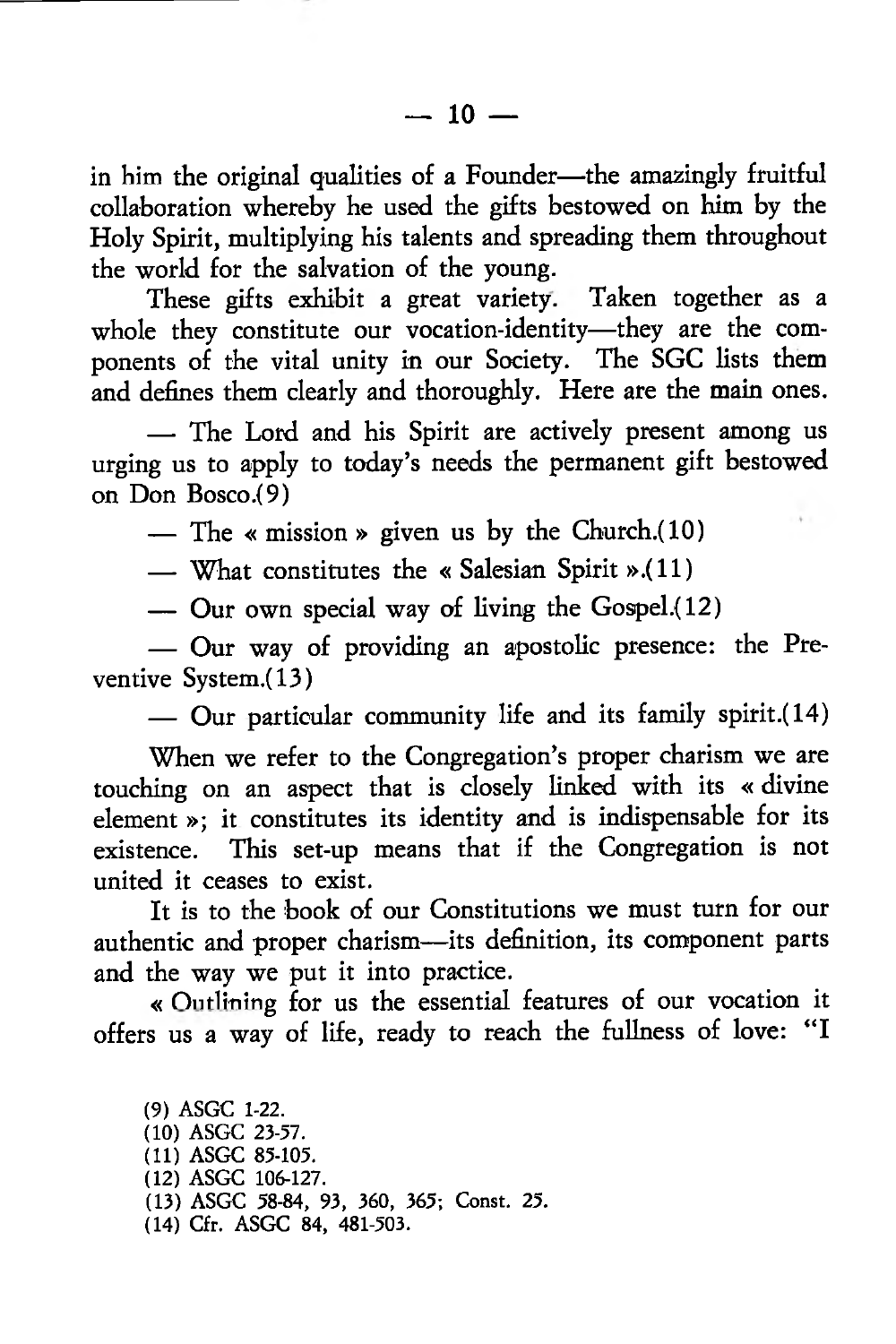in him the original qualities of a Founder—the amazingly fruitful collaboration whereby he used the gifts bestowed on him by the Holy Spirit, multiplying his talents and spreading them throughout the world for the salvation of the young.

These gifts exhibit a great variety. Taken together as a whole they constitute our vocation-identity—they are the components of the vital unity in our Society. The SGC lists them and defines them clearly and thoroughly. Here are the main ones.

— The Lord and his Spirit are actively present among us urging us to apply to today's needs the permanent gift bestowed on Don Bosco .(9)

— The « mission » given us by the Church. $(10)$ 

— What constitutes the « Salesian Spirit ».(11)

— Our own special way of living the Gospel.(12)

— Our way of providing an apostolic presence: the Preventive System.(13)

— Our particular community life and its family spirit.(14)

When we refer to the Congregation's proper charism we are touching on an aspect that is closely linked with its « divine element »; it constitutes its identity and is indispensable for its existence. This set-up means that if the Congregation is not united it ceases to exist.

It is to the book of our Constitutions we must turn for our authentic and proper charism—its definition, its component parts and the way we put it into practice.

« Outlining for us the essential features of our vocation it offers us a way of life, ready to reach the fullness of love: "I

(9) ASGC 1-22. (10) ASGC 23-57. (11) ASGC 85-105. (12) ASGC 106-127. (13) ASGC 58-84, 93, 360, 365; Const. 25. (14) Cfr. ASGC 84, 481-503.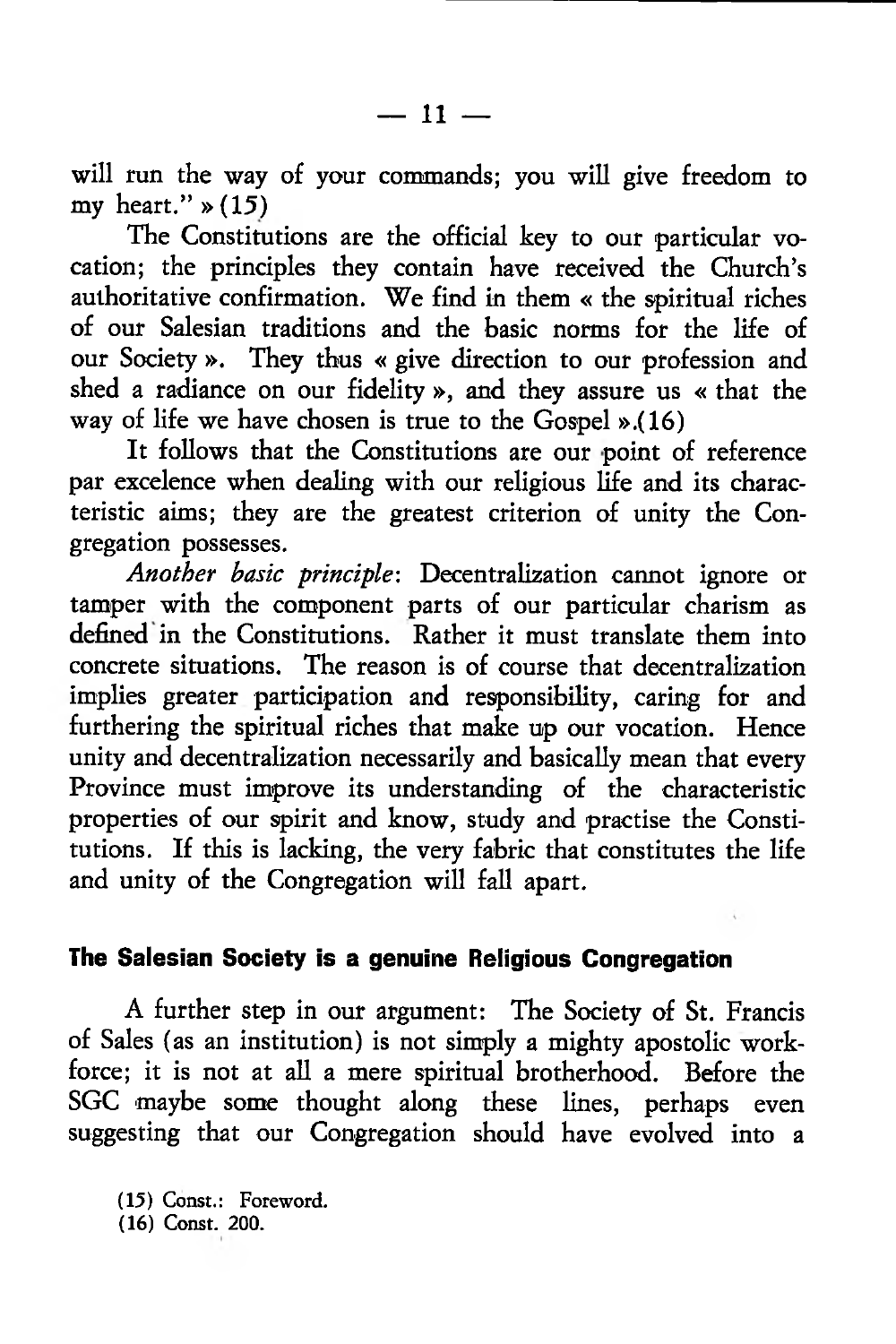will run the way of your commands; you will give freedom to my heart."  $\ast$  (15)

The Constitutions are the official key to our particular vocation; the principles they contain have received the Church's authoritative confirmation. We find in them « the spiritual riches of our Salesian traditions and the basic norms for the life of our Society ». They thus « give direction to our profession and shed a radiance on our fidelity », and they assure us « that the way of life we have chosen is true to the Gospel ».(16)

It follows that the Constitutions are our point of reference par excelence when dealing with our religious life and its characteristic aims; they are the greatest criterion of unity the Congregation possesses.

*Another basic principle:* Decentralization cannot ignore or tamper with the component parts of our particular charism as defined in the Constitutions. Rather it must translate them into concrete situations. The reason is of course that decentralization implies greater participation and responsibility, caring for and furthering the spiritual riches that make up our vocation. Hence unity and decentralization necessarily and basically mean that every Province must improve its understanding of the characteristic properties of our spirit and know, study and practise the Constitutions. If this is lacking, the very fabric that constitutes the life and unity of the Congregation will fall apart.

## **The Salesian Society is a genuine Religious Congregation**

A further step in our argument: The Society of St. Francis of Sales (as an institution) is not simply a mighty apostolic workforce; it is not at all a mere spiritual brotherhood. Before the SGC maybe some thought along these lines, perhaps even suggesting that our Congregation should have evolved into a

(15) Const.: Foreword.

(16) Const. 200.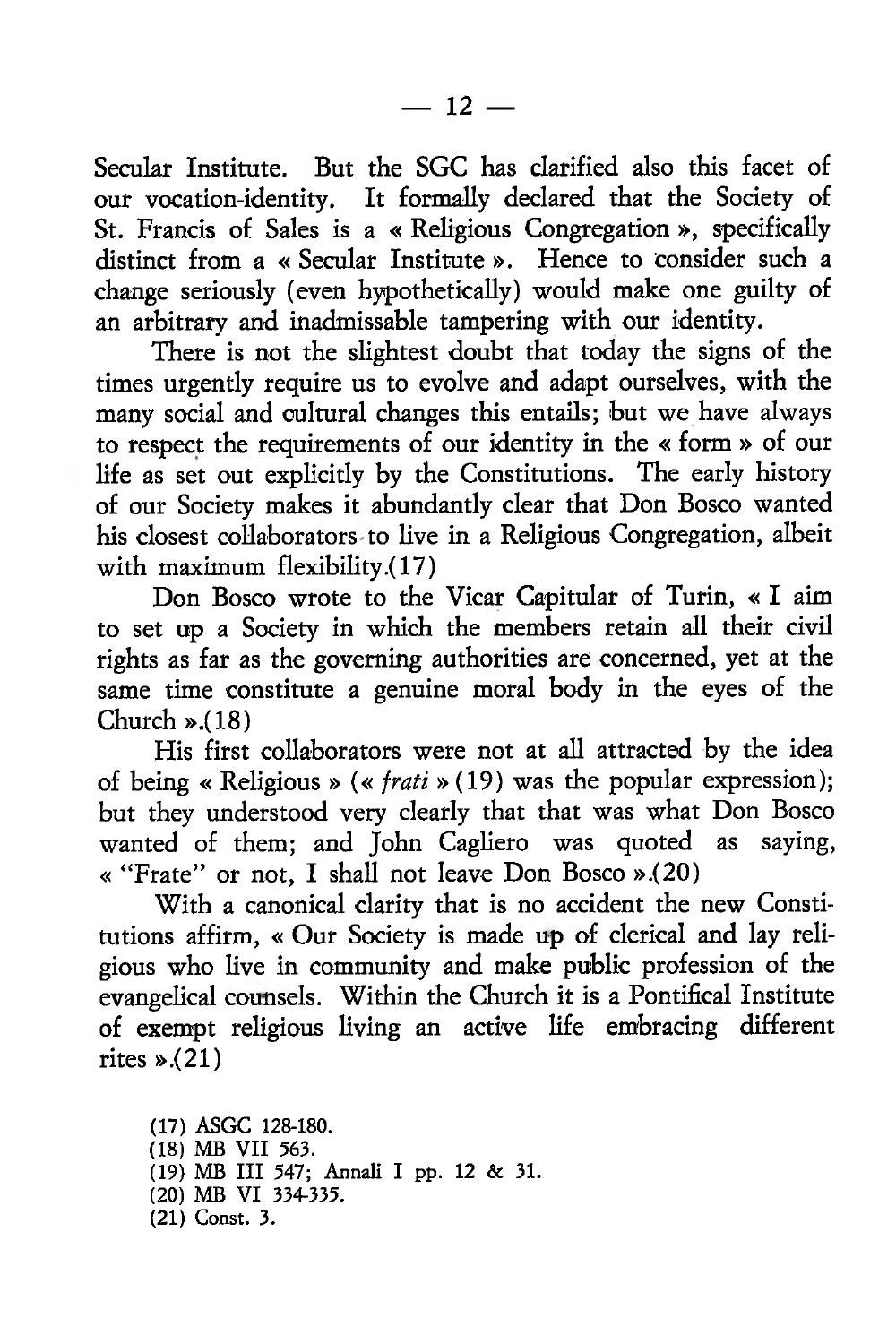Secular Institute. But the SGC has clarified also this facet of our vocation-identity. It formally declared that the Society of St. Francis of Sales is a « Religious Congregation », specifically distinct from a « Secular Institute ». Hence to consider such a change seriously (even hypothetically) would make one guilty of an arbitrary and inadmissable tampering with our identity.

There is not the slightest doubt that today the signs of the times urgently require us to evolve and adapt ourselves, with the many social and cultural changes this entails; but we have always to respect the requirements of our identity in the « form » of our life as set out explicitly by the Constitutions. The early history of our Society makes it abundantly clear that Don Bosco wanted his closest collaborators to live in a Religious Congregation, albeit with maximum flexibility.(17)

Don Bosco wrote to the Vicar Capitular of Turin, « I aim to set up a Society in which the members retain all their civil rights as far as the governing authorities are concerned, yet at the same time constitute a genuine moral body in the eyes of the Church ».(18)

His first collaborators were not at all attracted by the idea of being « Religious » (« *frati* »(19) was the popular expression); but they understood very clearly that that was what Don Bosco wanted of them; and John Cagliero was quoted as saying, « " Frate" or not, I shall not leave Don Bosco ».(20)

With a canonical clarity that is no accident the new Constitutions affirm, « Our Society is made up of clerical and lay religious who live in community and make public profession of the evangelical counsels. Within the Church it is a Pontifical Institute of exempt religious living an active life embracing different rites ».(21)

(17) ASGC 128-180. (18) MB VII 563. (19) MB III 547; Annali I pp. 12 & 31. (20) MB VI 334-335. (21) Const. 3.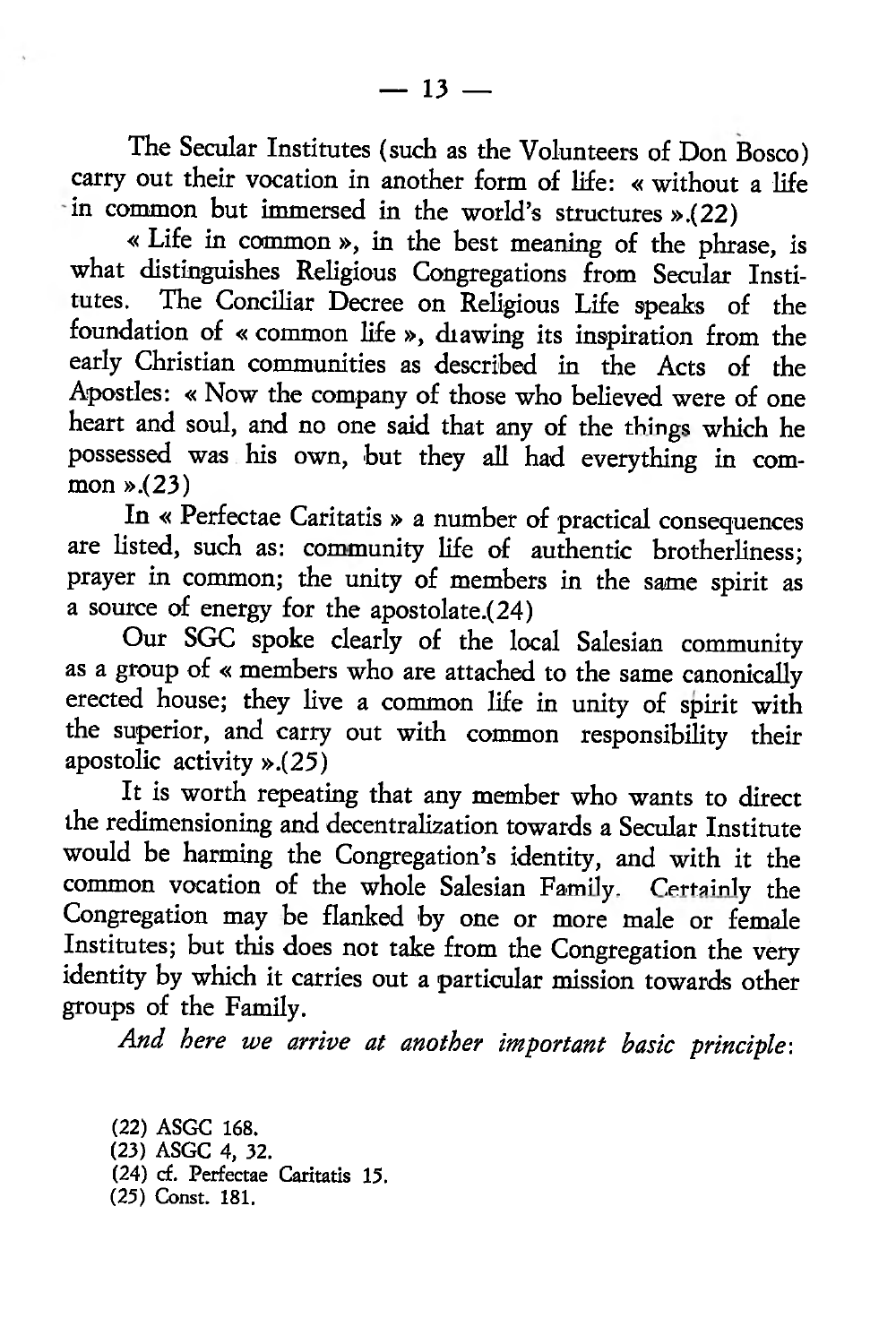The Secular Institutes (such as the Volunteers of Don Bosco) carry out their vocation in another form of life: « without a life in common but immersed in the world's structures ».(22)

« Life in common », in the best meaning of the phrase, is what distinguishes Religious Congregations from Secular Institutes. The Conciliar Decree on Religious Life speaks of the foundation of « common life », diawing its inspiration from the early Christian communities as described in the Acts of the Apostles: « Now the company of those who believed were of one heart and soul, and no one said that any of the things which he possessed was his own, but they all had everything in common ».(23)

In « Perfectae Caritatis » a number of practical consequences are listed, such as: community life of authentic brotherliness; prayer in common; the unity of members in the same spirit as a source of energy for the apostolate.(24)

Our SGC spoke clearly of the local Salesian community as a group of « members who are attached to the same canonically erected house; they live a common life in unity of spirit with the superior, and carry out with common responsibility their apostolic activity ».(25)

It is worth repeating that any member who wants to direct the redimensioning and decentralization towards a Secular Institute would be harming the Congregation's identity, and with it the common vocation of the whole Salesian Family. Certainly the Congregation may be flanked by one or more male or female Institutes; but this does not take from the Congregation the very identity by which it carries out a particular mission towards other groups of the Family.

*And here we arrive at another important basic principle*:

(22) ASGC 168. (23) ASGC 4, 32. (24) cf. Perfectae Caritatis 15. (25) Const. 181.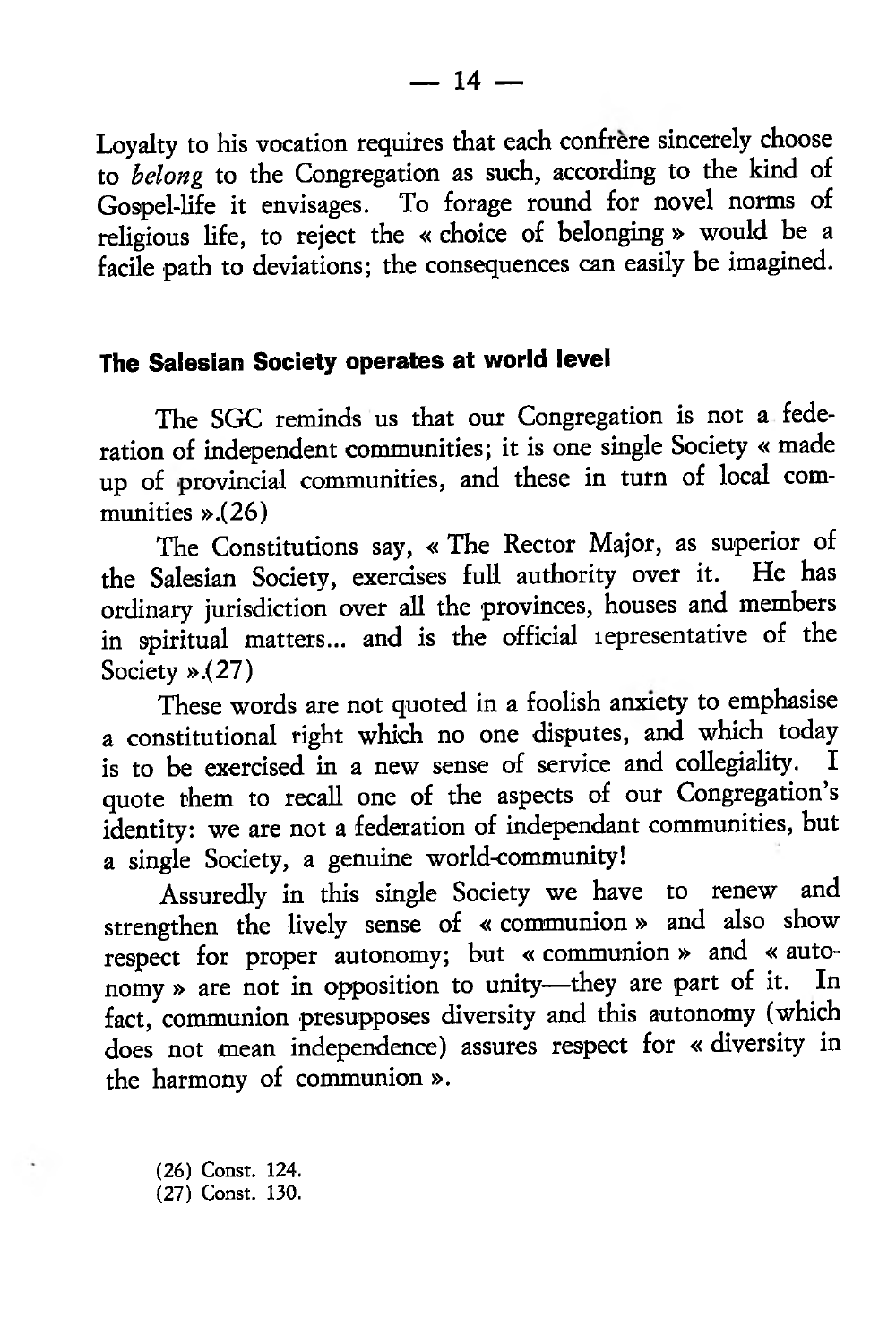Loyalty to his vocation requires that each confrere sincerely choose to *belong* to the Congregation as such, according to the kind of Gospel-life it envisages. To forage round for novel norms of religious life, to reject the « choice of belonging » would be a facile path to deviations; the consequences can easily be imagined.

### **The Salesian Society operates at world level**

The SGC reminds us that our Congregation is not a federation of independent communities; it is one single Society « made up of provincial communities, and these in turn of local communities ».(26)

The Constitutions say, « The Rector Major, as superior of the Salesian Society, exercises full authority over it. He has ordinary jurisdiction over all the provinces, houses and members in spiritual matters... and is the official lepresentative of the Society ».(27)

These words are not quoted in a foolish anxiety to emphasise a constitutional right which no one disputes, and which today is to be exercised in a new sense of service and collegiality. quote them to recall one of the aspects of our Congregation's identity: we are not a federation of independant communities, but a single Society, a genuine world-community!

Assuredly in this single Society we have to renew and strengthen the lively sense of « communion» and also show respect for proper autonomy; but « communion » and « autonomy » are not in opposition to unity—they are part of it. fact, communion presupposes diversity and this autonomy (which does not mean independence) assures respect for « diversity in the harmony of communion ».

(26) Const. 124. (27) Const. 130.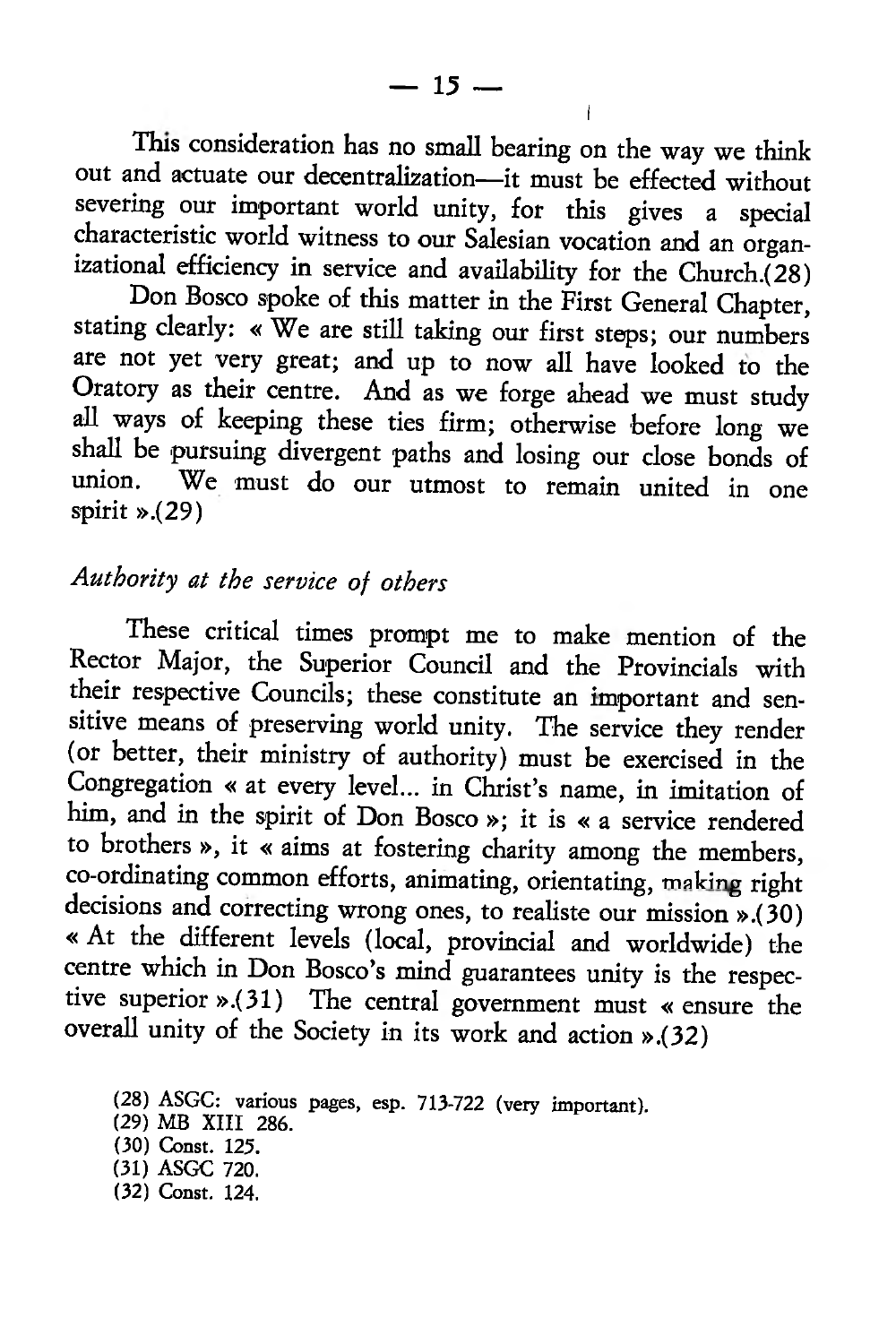This consideration has no small bearing on the way we think out and actuate our decentralization—it must be effected without severing our important world unity, for this gives a special characteristic world witness to our Salesian vocation and an organizational efficiency in service and availability for the Church.(28)

Don Bosco spoke of this matter in the First General Chapter, stating clearly: « We are still taking our first steps; our numbers are not yet very great; and up to now all have looked to the Oratory as their centre. And as we forge ahead we must study all ways of keeping these ties firm; otherwise before long we shall be pursuing divergent paths and losing our dose bonds of union. We must do our utmost to remain united in one spirit ».(29)

# *Authority at the service of others*

These critical times prompt me to make mention of the Rector Major, the Superior Council and the Provincials with their respective Councils; these constitute an important and sensitive means of preserving world unity. The service they render (or better, their ministry of authority) must be exercised in the Congregation « at every level... in Christ's name, in imitation of him, and in the spirit of Don Bosco »; it is « a service rendered to brothers », it « aims at fostering charity among the members, co-ordinating common efforts, animating, orientating, making right decisions and correcting wrong ones, to realiste our mission ».(30) « At the different levels (local, provincial and worldwide) the centre which in Don Bosco's mind guarantees unity is the respective superior ».(31) The central government must « ensure the overall unity of the Society in its work and action ».(32)

I

<sup>(28)</sup> ASGC: various pages, esp. 713-722 (very important).

<sup>(29)</sup> MB XIII 286.

<sup>(30)</sup> Const. 125.

<sup>(31)</sup> ASGC 720.

<sup>(32)</sup> Const. 124.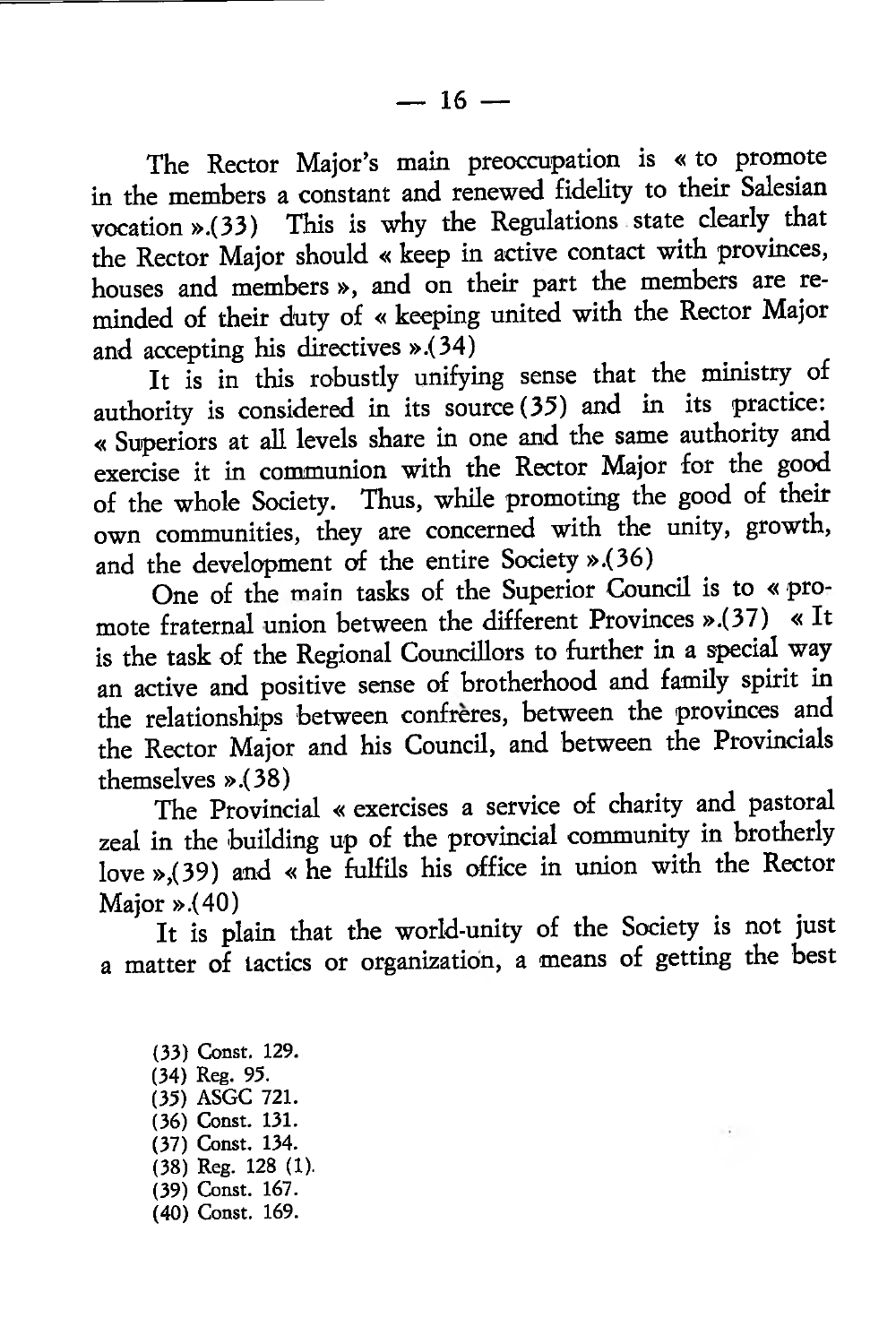The Rector Major's main preoccupation is « to promote in the members a constant and renewed fidelity to their Salesian vocation ».(33) This is why the Regulations state clearly that the Rector Major should « keep in active contact with provinces, houses and members », and on their part the members are reminded of their duty of « keeping united with the Rector Major and accepting his directives ».(34)

It is in this robustly unifying sense that the ministry of authority is considered in its source (35) and in its practice: « Superiors at all levels share in one and the same authority and exercise it in communion with the Rector Major for the good of the whole Society. Thus, while promoting the good of their own communities, they are concerned with the unity, growth, and the development of the entire Society ».(36)

One of the main tasks of the Superior Council is to « promote fraternal union between the different Provinces ».(37) « It is the task of the Regional Councillors to further in a special way an active and positive sense of brotherhood and family spirit in the relationships between confreres, between the provinces and the Rector Major and his Council, and between the Provincials themselves ».(38)

The Provincial « exercises a service of charity and pastoral zeal in the building up of the provincial community in brotherly love »,(39) and « he fulfils his office in union with the Rector Major ».(40)

It is plain that the world-unity of the Society is not just a matter of tactics or organization, a means of getting the best

(33) Const. 129. (34) Reg. 95. (35) ASGC 721. (36) Const. 131. (37) Const. 134. (38) Reg. 128 (1). (39) Const. 167. (40) Const. 169.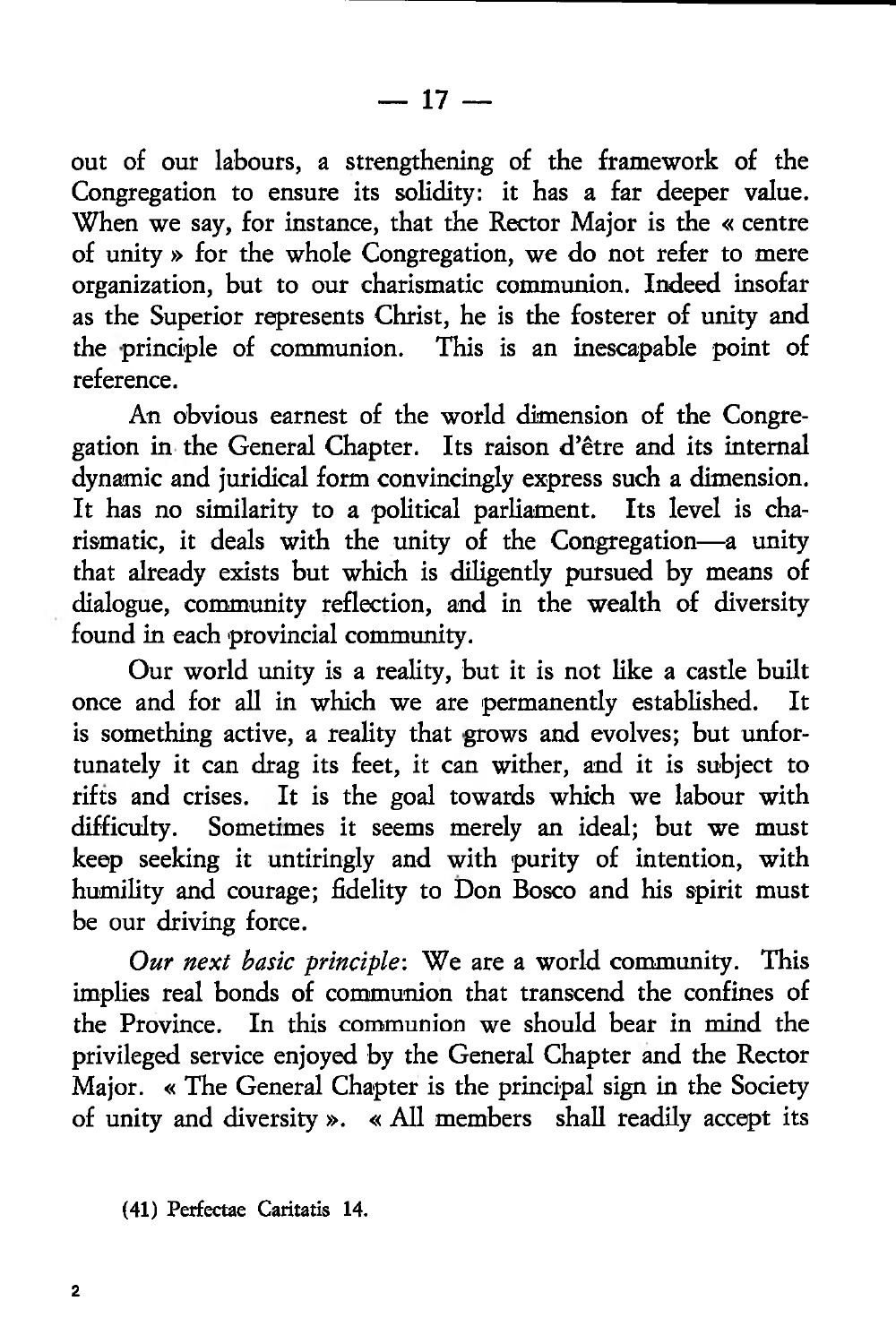$-17-$ 

out of our labours, a strengthening of the framework of the Congregation to ensure its solidity: it has a far deeper value. When we say, for instance, that the Rector Major is the « centre of unity » for the whole Congregation, we do not refer to mere organization, but to our charismatic communion. Indeed insofar as the Superior represents Christ, he is the fosterer of unity and the principle of communion. This is an inescapable point of reference.

An obvious earnest of the world dimension of the Congregation in the General Chapter. Its raison d'etre and its internal dynamic and juridical form convincingly express such a dimension. It has no similarity to a political parliament. rismatic, it deals with the unity of the Congregation—a unity that already exists but which is diligently pursued by means of dialogue, community reflection, and in the wealth of diversity found in each provincial community.

Our world unity is a reality, but it is not like a castle built<br>and for all in which we are permanently established. It once and for all in which we are permanently established. is something active, a reality that grows and evolves; but unfortunately it can drag its feet, it can wither, and it is subject to rifts and crises. It is the goal towards which we labour with It is the goal towards which we labour with difficulty. Sometimes it seems merely an ideal; but we must keep seeking it untiringly and with purity of intention, with humility and courage; fidelity to Don Bosco and his spirit must be our driving force.

*Our next basic principle-.* We are a world community. This implies real bonds of communion that transcend the confines of the Province. In this communion we should bear in mind the privileged service enjoyed by the General Chapter and the Rector Major. « The General Chapter is the principal sign in the Society of unity and diversity ». « All members shall readily accept its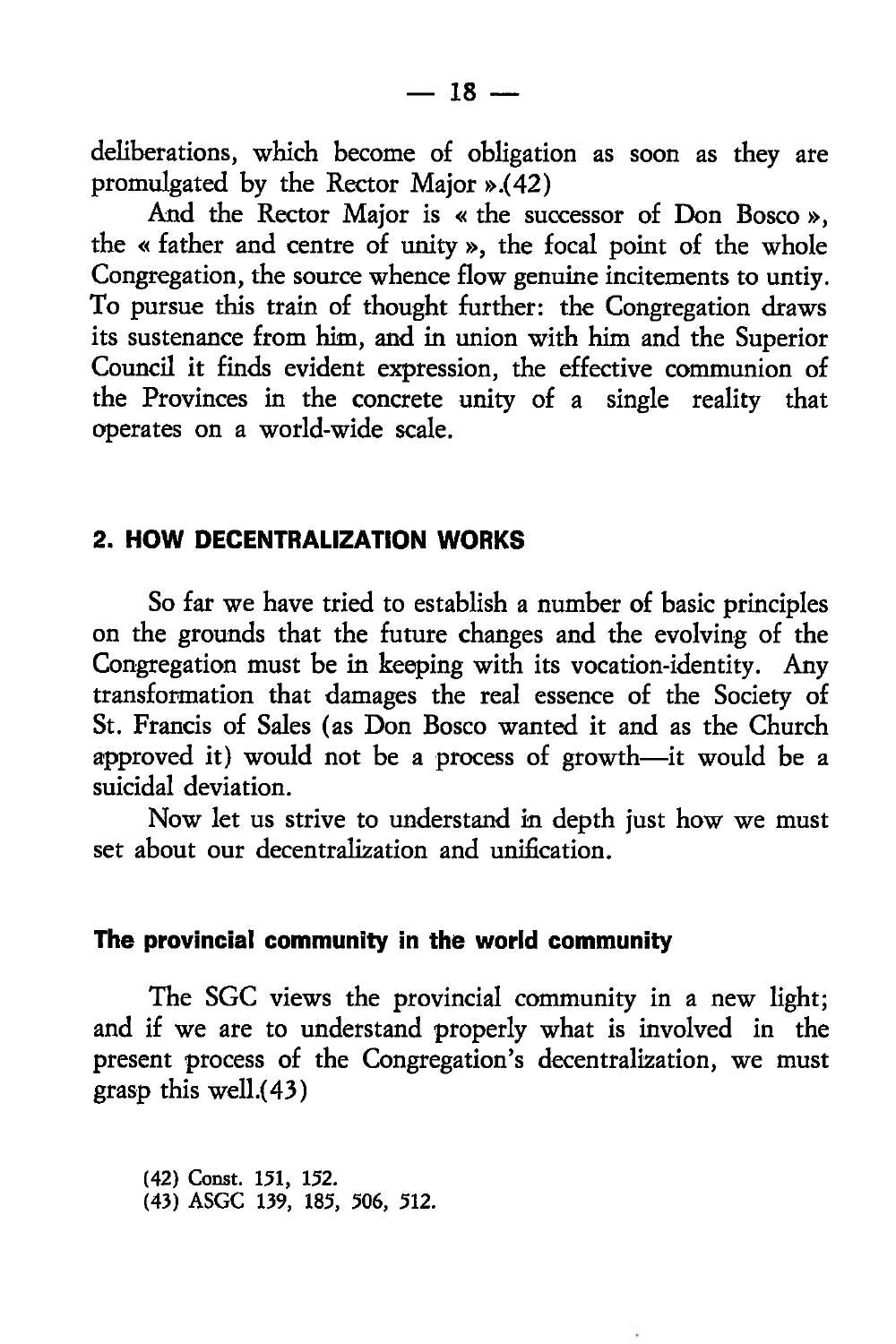deliberations, which become of obligation as soon as they are promulgated by the Rector Major ».(42)

And the Rector Major is « the successor of Don Bosco », the « father and centre of unity », the focal point of the whole Congregation, the source whence flow genuine incitements to untiy. To pursue this train of thought further: the Congregation draws its sustenance from him, and in union with him and the Superior Council it finds evident expression, the effective communion of the Provinces in the concrete unity of a single reality that operates on a world-wide scale.

### **2. HOW DECENTRALIZATION WORKS**

So far we have tried to establish a number of basic principles on the grounds that the future changes and the evolving of the Congregation must be in keeping with its vocation-identity. Any transformation that damages the real essence of the Society of St. Francis of Sales (as Don Bosco wanted it and as the Church approved it) would not be a process of growth—it would be a suicidal deviation.

Now let us strive to understand in depth just how we must set about our decentralization and unification.

#### **The provincial community in the world community**

The SGC views the provincial community in a new light; and if we are to understand properly what is involved in the present process of the Congregation's decentralization, we must grasp this well.(43)

(42) Const. 151, 152. (43) ASGC 139, 185, 506, 512.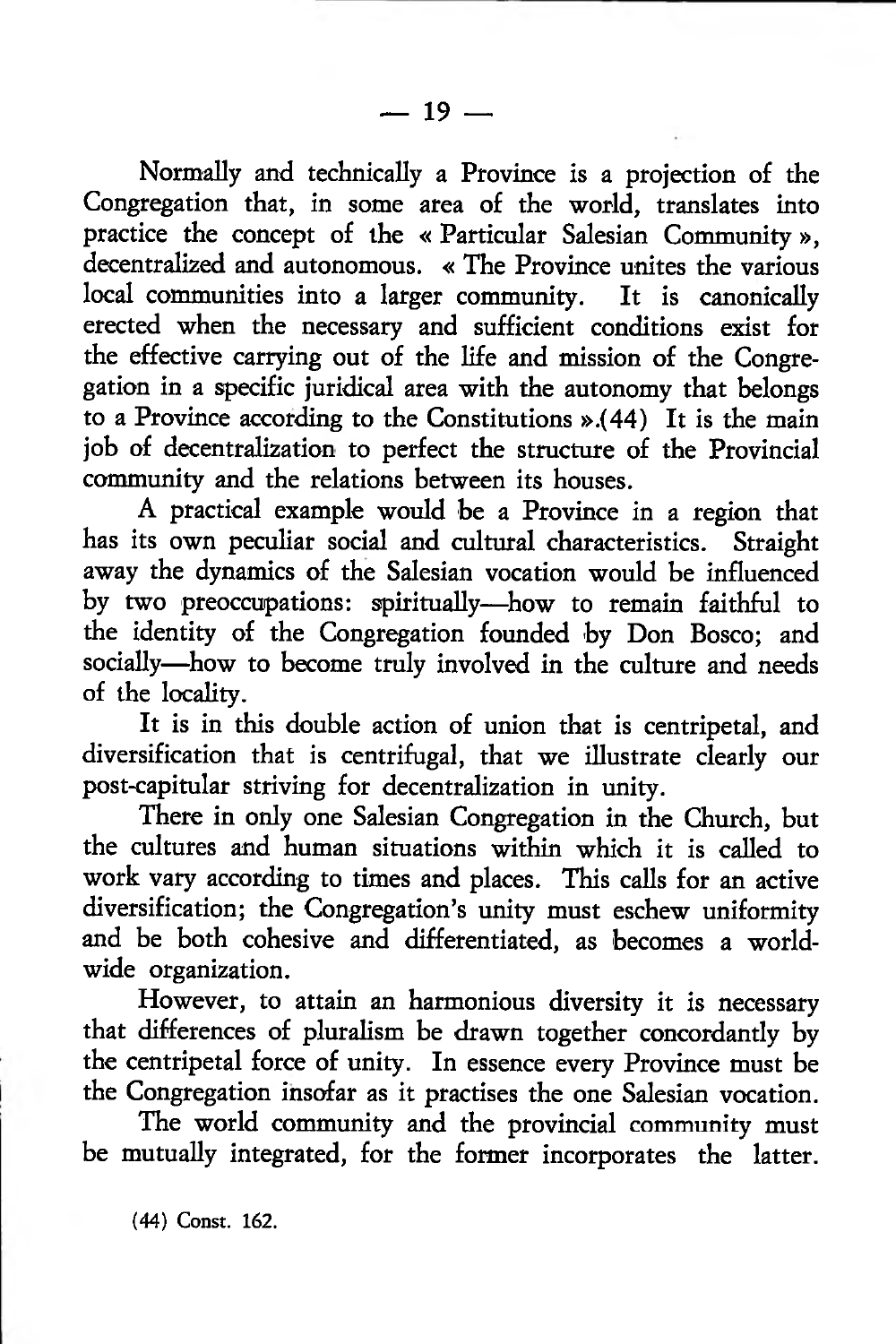Normally and technically a Province is a projection of the Congregation that, in some area of the world, translates into practice the concept of the « Particular Salesian Community », decentralized and autonomous. « The Province unites the various local communities into a larger community. It is canonically erected when the necessary and sufficient conditions exist for the effective carrying out of the life and mission of the Congregation in a specific juridical area with the autonomy that belongs to a Province according to the Constitutions ».(44) It is the main job of decentralization to perfect the structure of the Provincial community and the relations between its houses.

A practical example would be a Province in a region that has its own peculiar social and cultural characteristics. away the dynamics of the Salesian vocation would be influenced by two preoccupations: spiritually—how to remain faithful to the identity of the Congregation founded by Don Bosco; and socially—how to become truly involved in the culture and needs of the locality.

It is in this double action of union that is centripetal, and diversification that is centrifugal, that we illustrate clearly our post-capitular striving for decentralization in unity.

There in only one Salesian Congregation in the Church, but the cultures and human situations within which it is called to work vary according to times and places. This calls for an active diversification; the Congregation's unity must eschew uniformity and be both cohesive and differentiated, as becomes a worldwide organization.

However, to attain an harmonious diversity it is necessary that differences of pluralism be drawn together concordantly by the centripetal force of unity. In essence every Province must be the Congregation insofar as it practises the one Salesian vocation.

The world community and the provincial community must be mutually integrated, for the former incorporates the latter.

(44) Const. 162.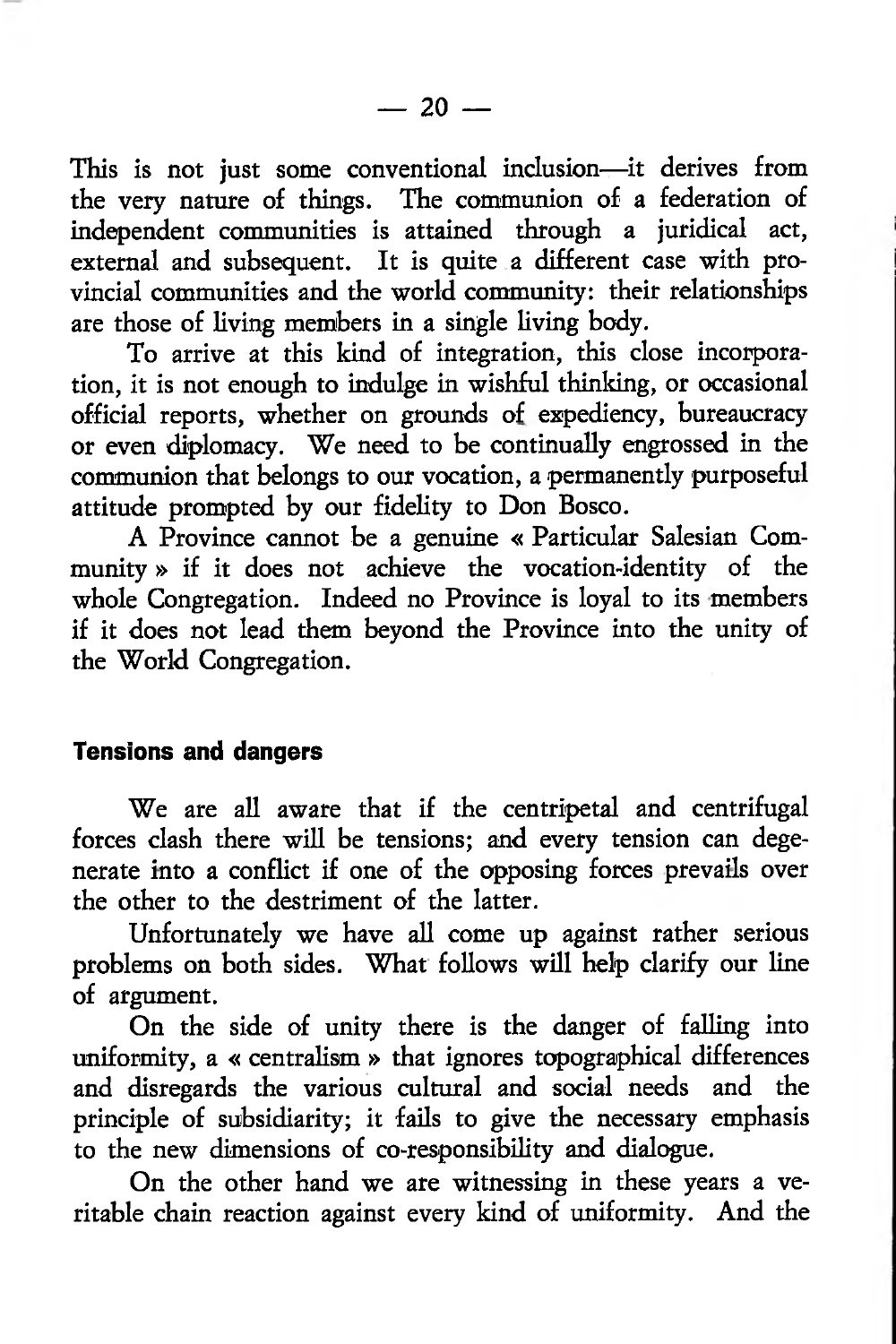This is not just some conventional inclusion—it derives from the very nature of things. The communion of a federation of independent communities is attained through a juridical act, external and subsequent. It is quite a different case with provincial communities and the world community: their relationships are those of living members in a single living body.

To arrive at this kind of integration, this close incorporation, it is not enough to indulge in wishful thinking, or occasional official reports, whether on grounds of expediency, bureaucracy or even diplomacy. We need to be continually engrossed in the communion that belongs to our vocation, a permanently purposeful attitude prompted by our fidelity to Don Bosco.

A Province cannot be a genuine « Particular Salesian Community » if it does not achieve the vocation-identity of the whole Congregation. Indeed no Province is loyal to its members if it does not lead them beyond the Province into the unity of the World Congregation.

#### **Tensions and dangers**

We are all aware that if the centripetal and centrifugal forces clash there will be tensions; and every tension can degenerate into a conflict if one of the opposing forces prevails over the other to the destriment of the latter.

Unfortunately we have all come up against rather serious problems on both sides. What follows will help clarify our line of argument.

On the side of unity there is the danger of falling into uniformity, a « centralism » that ignores topographical differences and disregards the various cultural and social needs and the principle of subsidiarity; it fails to give the necessary emphasis to the new dimensions of co-responsibility and dialogue.

On the other hand we are witnessing in these years a veritable chain reaction against every kind of uniformity. And the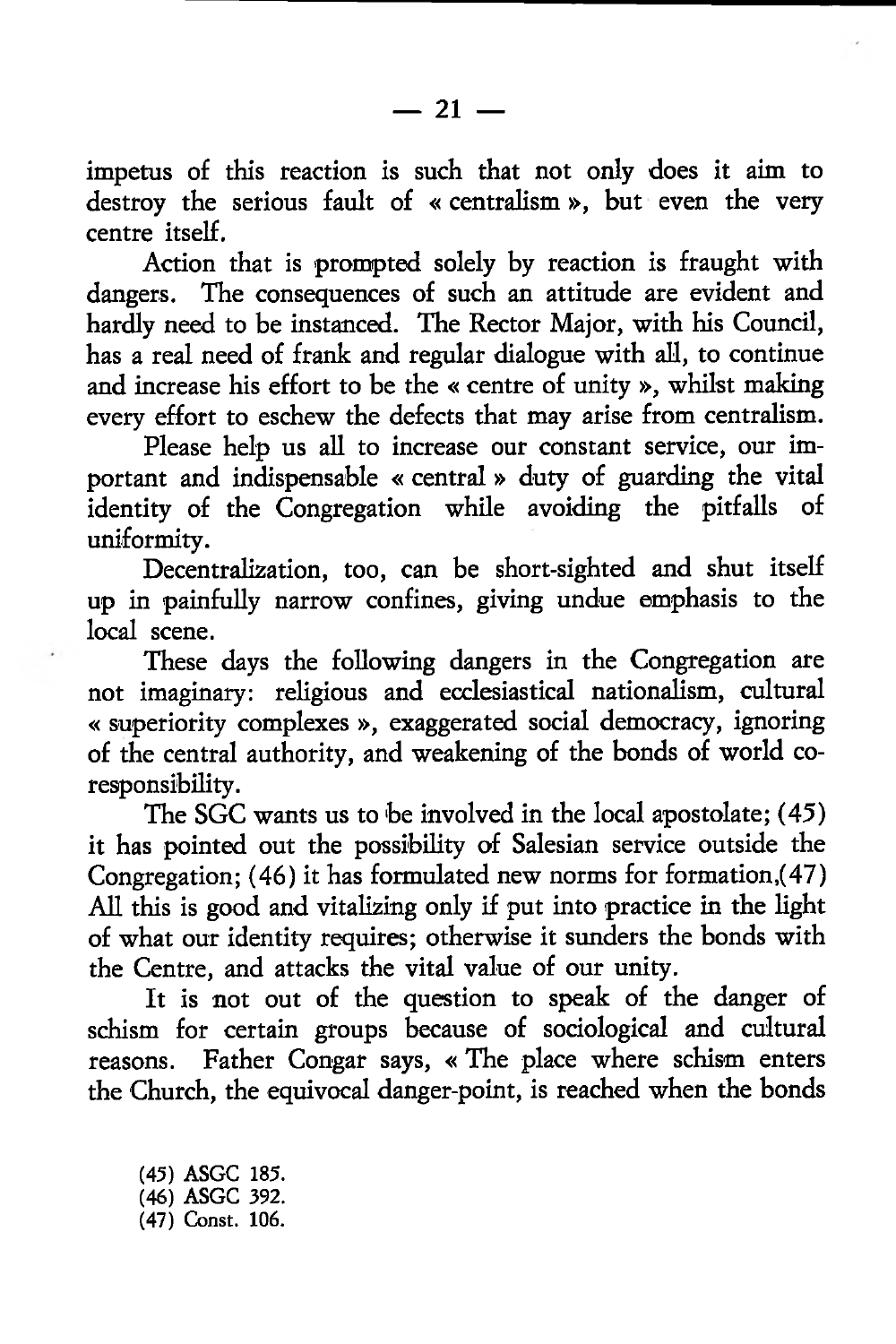impetus of this reaction is such that not only does it aim to destroy the serious fault of « centralism », but even the very centre itself.

Action that is prompted solely by reaction is fraught with dangers. The consequences of such an attitude are evident and hardly need to be instanced. The Rector Major, with his Council, has a real need of frank and regular dialogue with all, to continue and increase his effort to be the « centre of unity », whilst making every effort to eschew the defects that may arise from centralism.

Please help us all to increase our constant service, our important and indispensable « central» duty of guarding the vital identity of the Congregation while avoiding the pitfalls of uniformity.

Decentralization, too, can be short-sighted and shut itself up in painfully narrow confines, giving undue emphasis to the local scene.

These days the following dangers in the Congregation are not imaginary: religious and ecclesiastical nationalism, cultural « superiority complexes », exaggerated social democracy, ignoring of the central authority, and weakening of the bonds of world coresponsibility.

The SGC wants us to be involved in the local apostolate; (45) it has pointed out the possibility of Salesian service outside the Congregation;  $(46)$  it has formulated new norms for formation,  $(47)$ All this is good and vitalizing only if put into practice in the light of what our identity requires; otherwise it sunders the bonds with the Centre, and attacks the vital value of our unity.

It is not out of the question to speak of the danger of schism for certain groups because of sociological and cultural reasons. Father Congar says, « The place where schism enters the Church, the equivocal danger-point, is reached when the bonds

(45) ASGC 185. (46) ASGC 392. (47) Const. 106.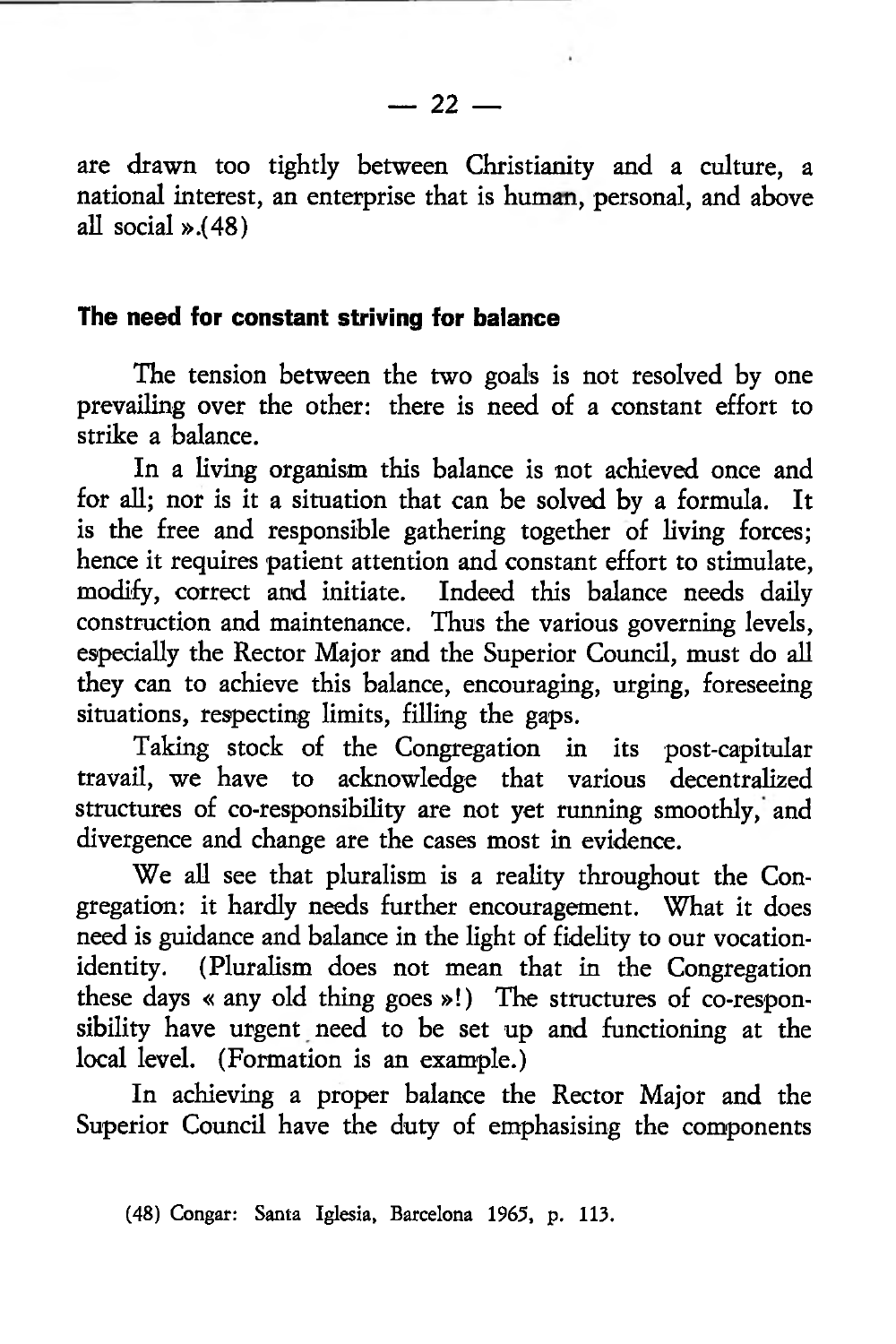## **The need for constant striving for balance**

The tension between the two goals is not resolved by one prevailing over the other: there is need of a constant effort to strike a balance.

In a living organism this balance is not achieved once and for all; nor is it a situation that can be solved by a formula. It is the free and responsible gathering together of living forces; hence it requires patient attention and constant effort to stimulate, modify, correct and initiate. Indeed this balance needs daily construction and maintenance. Thus the various governing levels, especially the Rector Major and the Superior Council, must do all they can to achieve this balance, encouraging, urging, foreseeing situations, respecting limits, filling the gaps.

Taking stock of the Congregation in its post-capitular travail, we have to acknowledge that various decentralized structures of co-responsibility are not yet running smoothly, and divergence and change are the cases most in evidence.

We all see that pluralism is a reality throughout the Congregation: it hardly needs further encouragement. What it does need is guidance and balance in the light of fidelity to our vocationidentity. (Pluralism does not mean that in the Congregation these days « any old thing goes »!) The structures of co-responsibility have urgent need to be set up and functioning at the local level. (Formation is an example.)

In achieving a proper balance the Rector Major and the Superior Council have the duty of emphasising the components

<sup>(48)</sup> Congar: Santa Iglesia, Barcelona 1965, p. 113.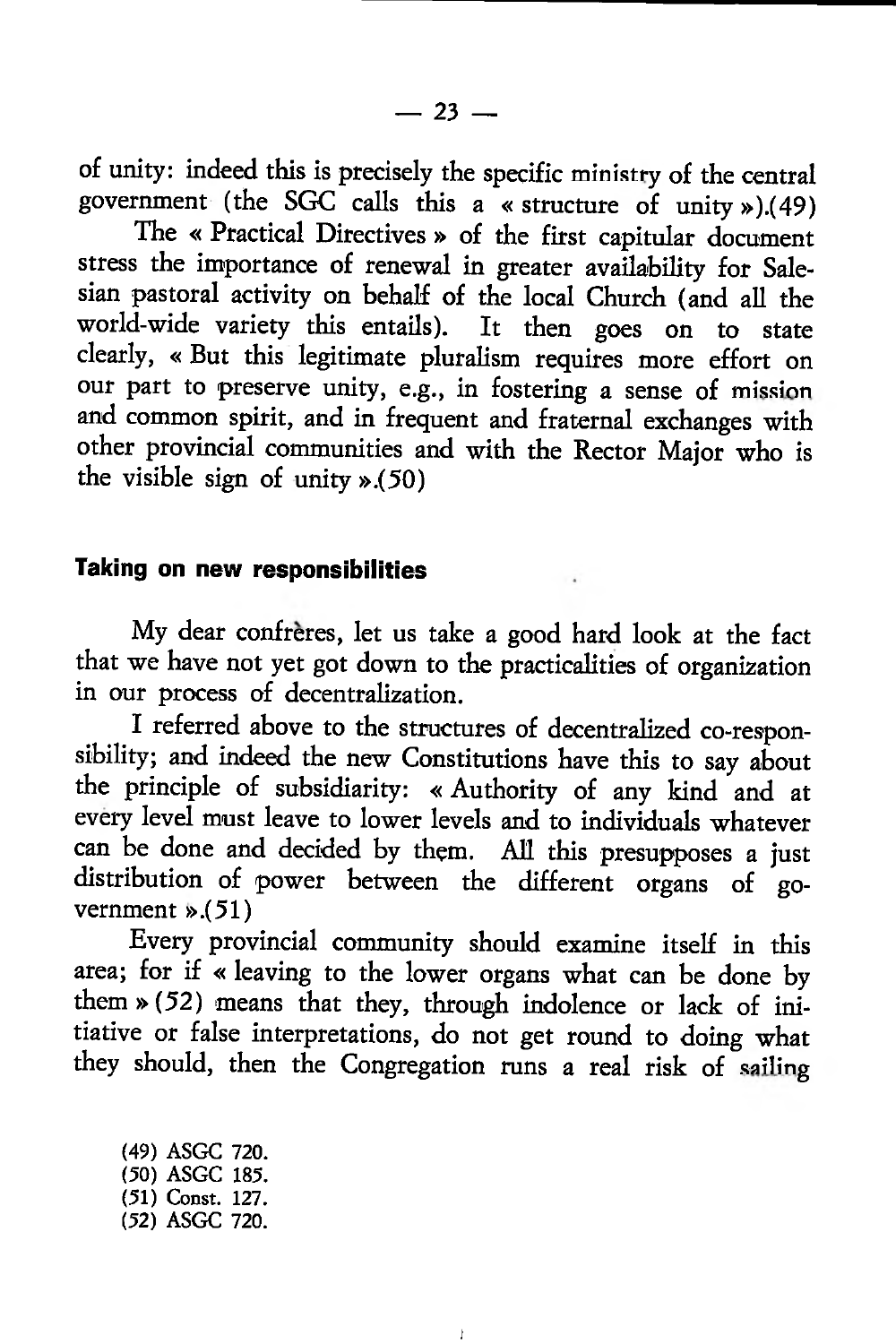of unity: indeed this is precisely the specific ministry of the central government (the  $SGC$  calls this a « structure of unity »).(49)

The « Practical Directives » of the first capitular document stress the importance of renewal in greater availability for Salesian pastoral activity on behalf of the local Church (and all the world-wide variety this entails). It then goes on to state clearly, « But this legitimate pluralism requires more effort on our part to preserve unity, e.g., in fostering a sense of mission and common spirit, and in frequent and fraternal exchanges with other provincial communities and with the Rector Major who is the visible sign of unity ».(50)

### **Taking on new responsibilities**

My dear confreres, let us take a good hard look at the fact that we have not yet got down to the practicalities of organization in our process of decentralization.

I referred above to the structures of decentralized co-responsibility; and indeed the new Constitutions have this to say about the principle of subsidiarity: « Authority of any kind and at every level must leave to lower levels and to individuals whatever can be done and decided by them. All this presupposes a just distribution of power between the different organs of government ».(51)

Every provincial community should examine itself in this area; for if « leaving to the lower organs what can be done by them »(52) means that they, through indolence or lack of initiative or false interpretations, do not get round to doing what they should, then the Congregation runs a real risk of sailing

I

(49) ASGC 720. (50) ASGC 185. (51) Const. 127. (52) ASGC 720.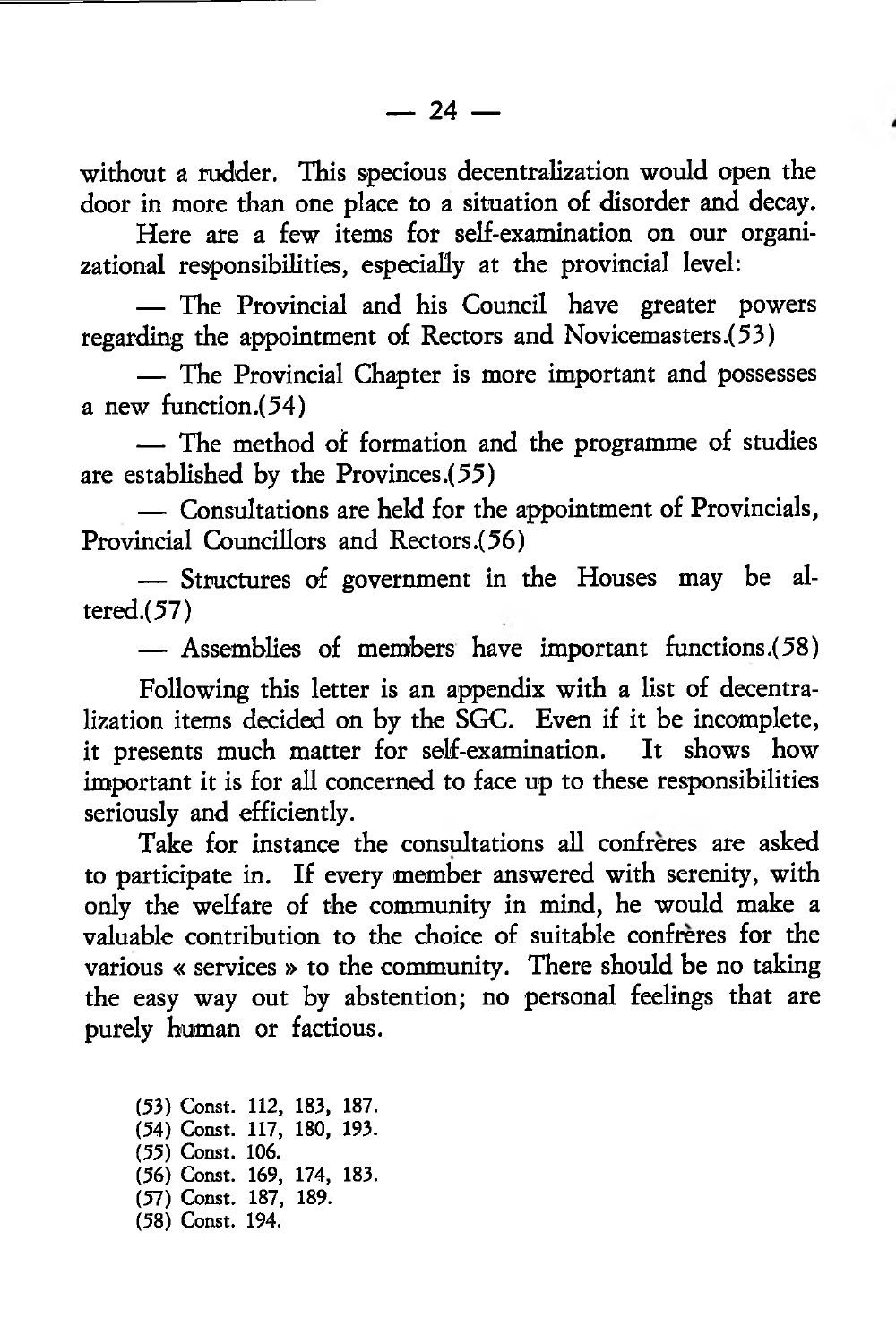without a rudder. This specious decentralization would open the door in more than one place to a situation of disorder and decay.

Here are a few items for self-examination on our organizational responsibilities, especially at the provincial level:

— The Provincial and his Council have greater powers regarding the appointment of Rectors and Novicemasters.(53)

— The Provincial Chapter is more important and possesses a new function.(54)

— The method of formation and the programme of studies are established by the Provinces .(55)

— Consultations are held for the appointment of Provincials, Provincial Councillors and Rectors (56)

— Structures of government in the Houses may be al $tered.(57)$ 

— Assemblies of members have important functions .(58)

Following this letter is an appendix with a list of decentralization items decided on by the SGC. Even if it be incomplete, it presents much matter for self-examination. It shows how important it is for all concerned to face up to these responsibilities seriously and efficiently.

Take for instance the consultations all confreres are asked to participate in. If every member answered with serenity, with only the welfare of the community in mind, he would make a valuable contribution to the choice of suitable confreres for the various « services » to the community. There should be no taking the easy way out by abstention; no personal feelings that are purely human or factious.

(53) Const. 112, 183, 187. (54) Const. 117, 180, 193. (55) Const. 106. (56) Const. 169, 174, 183. (57) Const. 187, 189. (58) Const. 194.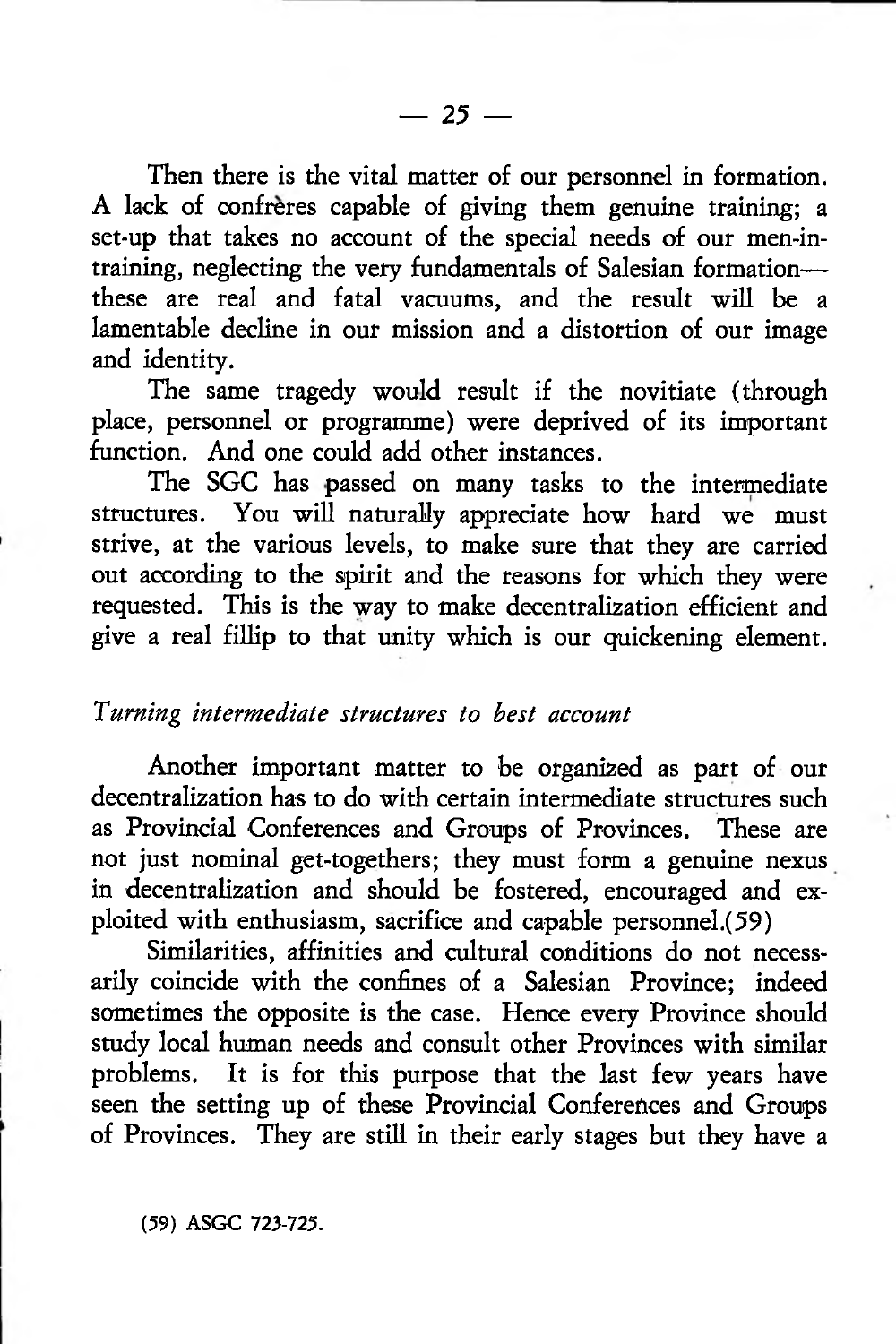Then there is the vital matter of our personnel in formation. A lack of confrères capable of giving them genuine training; a set-up that takes no account of the special needs of our men-intraining, neglecting the very fundamentals of Salesian formation these are real and fatal vacuums, and the result will be a lamentable decline in our mission and a distortion of our image and identity.

The same tragedy would result if the novitiate (through place, personnel or programme) were deprived of its important function. And one could add other instances.

The SGC has passed on many tasks to the intermediate structures. You will naturally appreciate how hard we must strive, at the various levels, to make sure that they are carried out according to the spirit and the reasons for which they were requested. This is the way to make decentralization efficient and give a real fillip to that unity which is our quickening element.

#### *Turning intermediate structures to best account*

Another important matter to be organized as part of our decentralization has to do with certain intermediate structures such as Provincial Conferences and Groups of Provinces. These are not just nominal get-togethers; they must form a genuine nexus in decentralization and should be fostered, encouraged and exploited with enthusiasm, sacrifice and capable personnel.(59)

Similarities, affinities and cultural conditions do not necessarily coincide with the confines of a Salesian Province; indeed sometimes the opposite is the case. Hence every Province should study local human needs and consult other Provinces with similar problems. It is for this purpose that the last few years have seen the setting up of these Provincial Conferences and Groups of Provinces. They are still in their early stages but they have a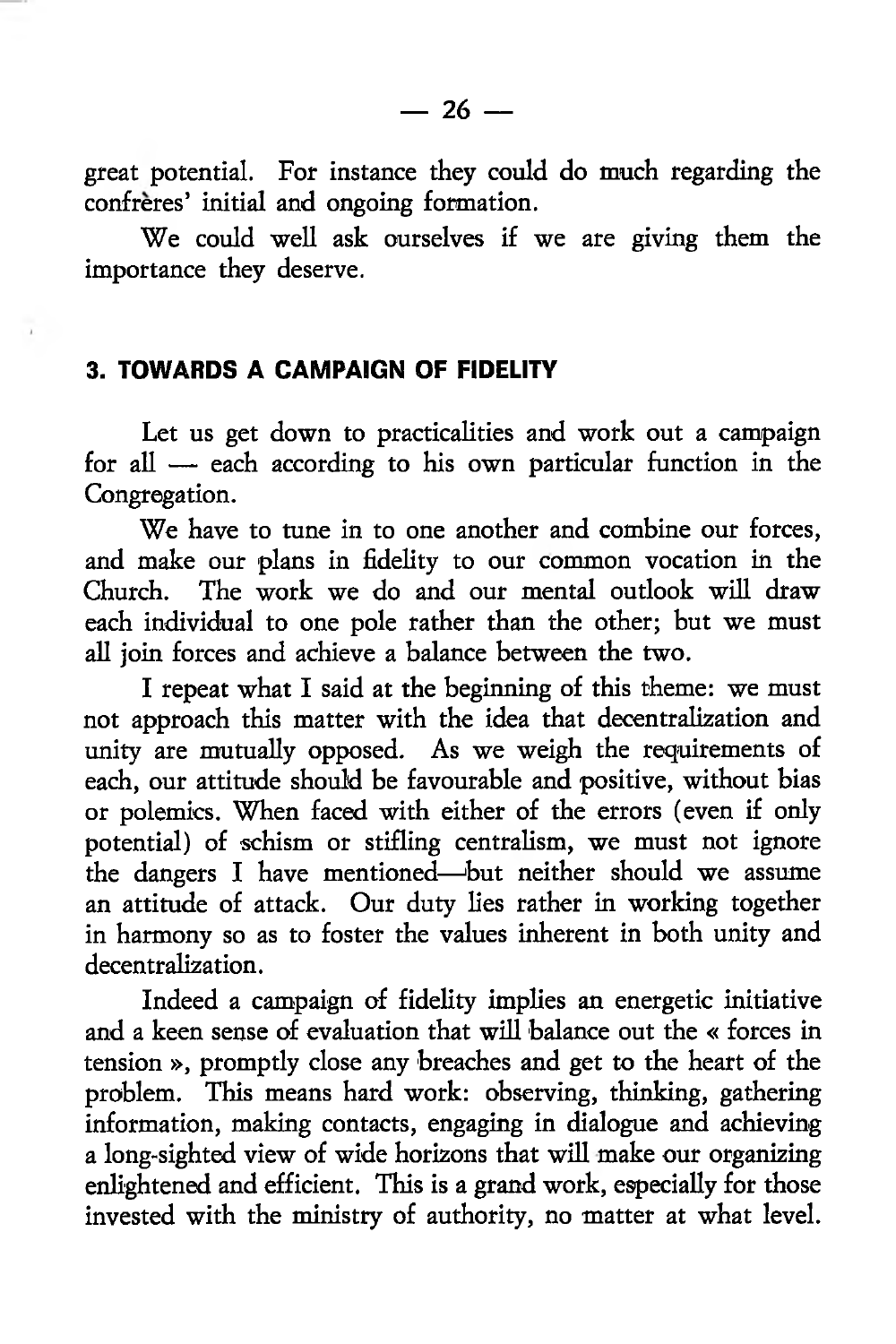great potential. For instance they could do much regarding the confreres' initial and ongoing formation.

We could well ask ourselves if we are giving them the importance they deserve.

### **3. TOWARDS A CAMPAIGN OF FIDELITY**

Let us get down to practicalities and work out a campaign for all — each according to his own particular function in the Congregation.

We have to tune in to one another and combine our forces, and make our plans in fidelity to our common vocation in the Church. The work we do and our mental outlook will draw each individual to one pole rather than the other; but we must all join forces and achieve a balance between the two.

I repeat what I said at the beginning of this theme: we must not approach this matter with the idea that decentralization and unity are mutually opposed. As we weigh the requirements of each, our attitude should be favourable and positive, without bias or polemics. When faced with either of the errors (even if only potential) of schism or stifling centralism, we must not ignore the dangers I have mentioned—'but neither should we assume an attitude of attack. Our duty lies rather in working together in harmony so as to foster the values inherent in both unity and decentralization.

Indeed a campaign of fidelity implies an energetic initiative and a keen sense of evaluation that will balance out the « forces in tension », promptly close any breaches and get to the heart of the problem. This means hard work: observing, thinking, gathering information, making contacts, engaging in dialogue and achieving a long-sighted view of wide horizons that will make our organizing enlightened and efficient. This is a grand work, especially for those invested with the ministry of authority, no matter at what level.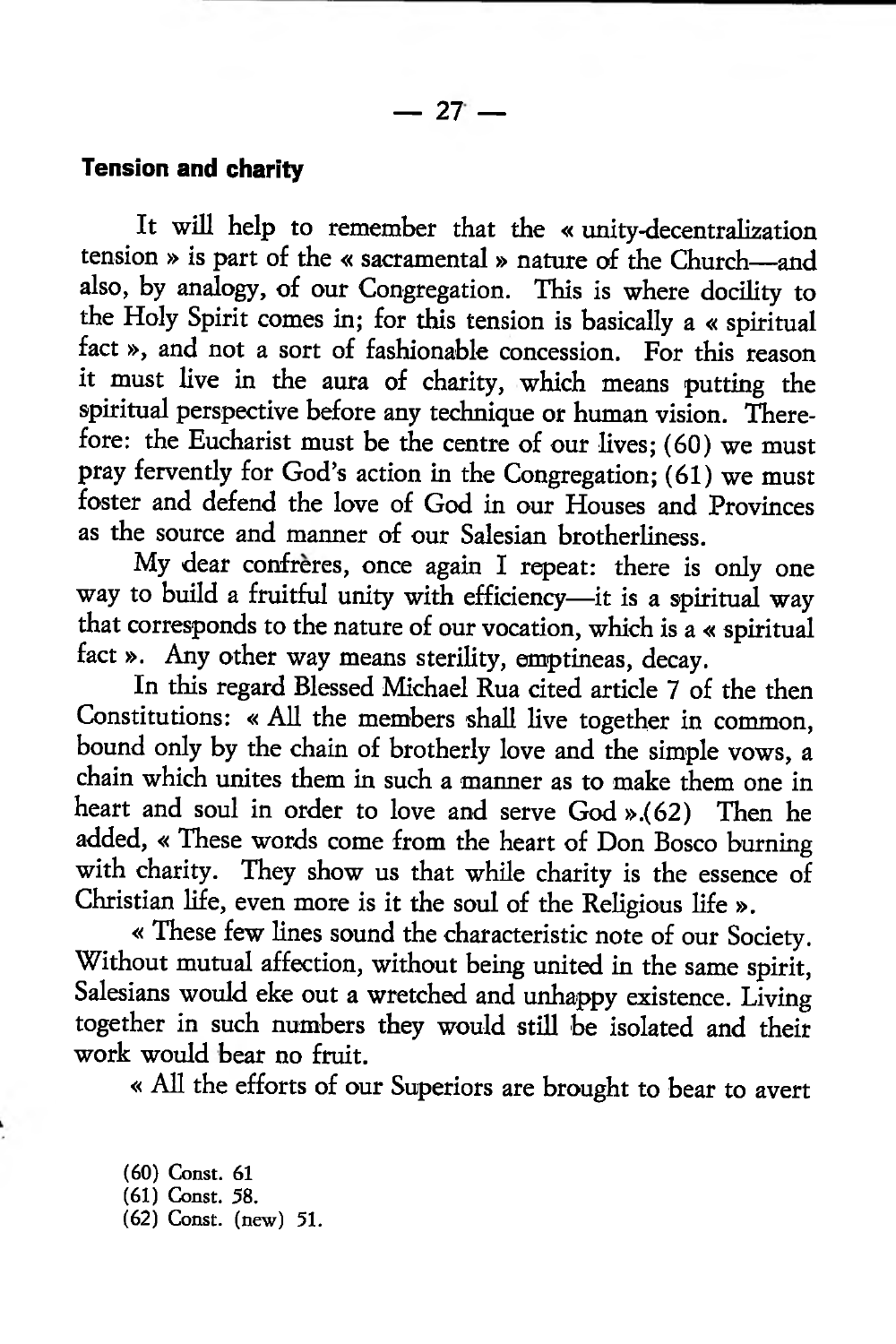## **Tension and charity**

It will help to remember that the « unity-decentralization tension » is part of the « sacramental » nature of the Church—and also, by analogy, of our Congregation. This is where docility to the Holy Spirit comes in; for this tension is basically a « spiritual fact», and not a sort of fashionable concession. For this reason it must live in the aura of charity, which means putting the spiritual perspective before any technique or human vision. Therefore: the Eucharist must be the centre of our lives; (60) we must pray fervently for God's action in the Congregation; (61) we must foster and defend the love of God in our Houses and Provinces as the source and manner of our Salesian brotherliness.

My dear confrères, once again I repeat: there is only one way to build a fruitful unity with efficiency—it is a spiritual way that corresponds to the nature of our vocation, which is a « spiritual fact ». Any other way means sterility, emptineas, decay.

In this regard Blessed Michael Rua cited article 7 of the then Constitutions: « All the members shall live together in common, bound only by the chain of brotherly love and the simple vows, a chain which unites them in such a manner as to make them one in heart and soul in order to love and serve God ».(62) Then he added, « These words come from the heart of Don Bosco burning with charity. They show us that while charity is the essence of Christian life, even more is it the soul of the Religious life ».

« These few lines sound the characteristic note of our Society. Without mutual affection, without being united in the same spirit, Salesians would eke out a wretched and unhappy existence. Living together in such numbers they would still be isolated and their work would bear no fruit.

« All the efforts of our Superiors are brought to bear to avert

(60) Const. 61 (61) Const. 58. (62) Const, (new) 51.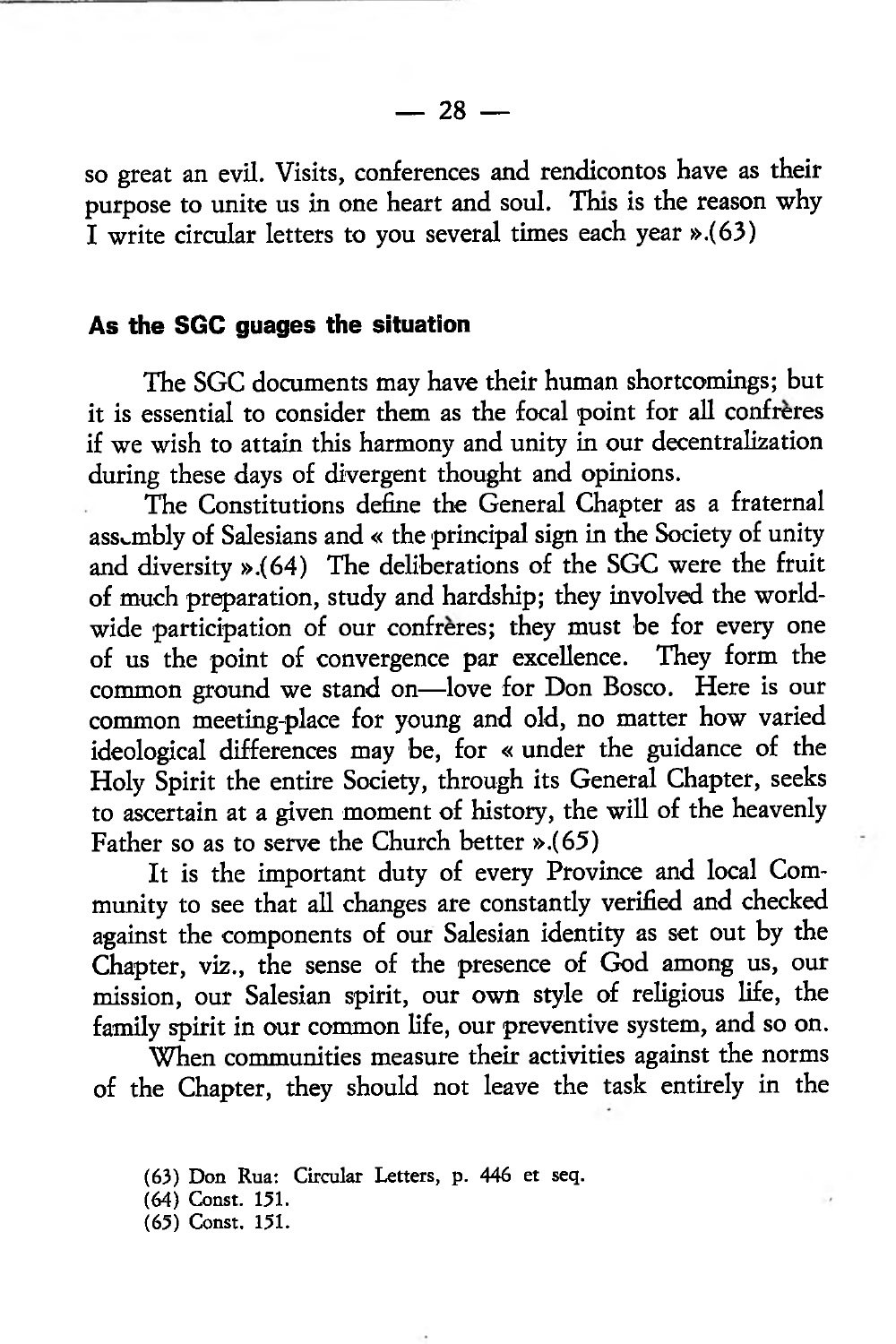so great an evil. Visits, conferences and rendicontos have as their purpose to unite us in one heart and soul. This is the reason why I write circular letters to you several times each year ».(63)

#### **As the SGC guages the situation**

The SGC documents may have their human shortcomings; but it is essential to consider them as the focal point for all confreres if we wish to attain this harmony and unity in our decentralization during these days of divergent thought and opinions.

The Constitutions define the General Chapter as a fraternal assembly of Salesians and « the principal sign in the Society of unity and diversity ».(64) The deliberations of the SGC were the fruit of much preparation, study and hardship; they involved the worldwide participation of our confreres; they must be for every one of us the point of convergence par excellence. They form the common ground we stand on—love for Don Bosco. Here is our common meeting-place for young and old, no matter how varied ideological differences may be, for « under the guidance of the Holy Spirit the entire Society, through its General Chapter, seeks to ascertain at a given moment of history, the will of the heavenly Father so as to serve the Church better ».(65)

It is the important duty of every Province and local Community to see that all changes are constantly verified and checked against the components of our Salesian identity as set out by the Chapter, viz., the sense of the presence of God among us, our mission, our Salesian spirit, our own style of religious life, the family spirit in our common life, our preventive system, and so on.

When communities measure their activities against the norms of the Chapter, they should not leave the task entirely in the

<sup>(63)</sup> Don Rua: Circular Letters, p. 446 et seq.

<sup>(64)</sup> Const. 151.

<sup>(65)</sup> Const. 151.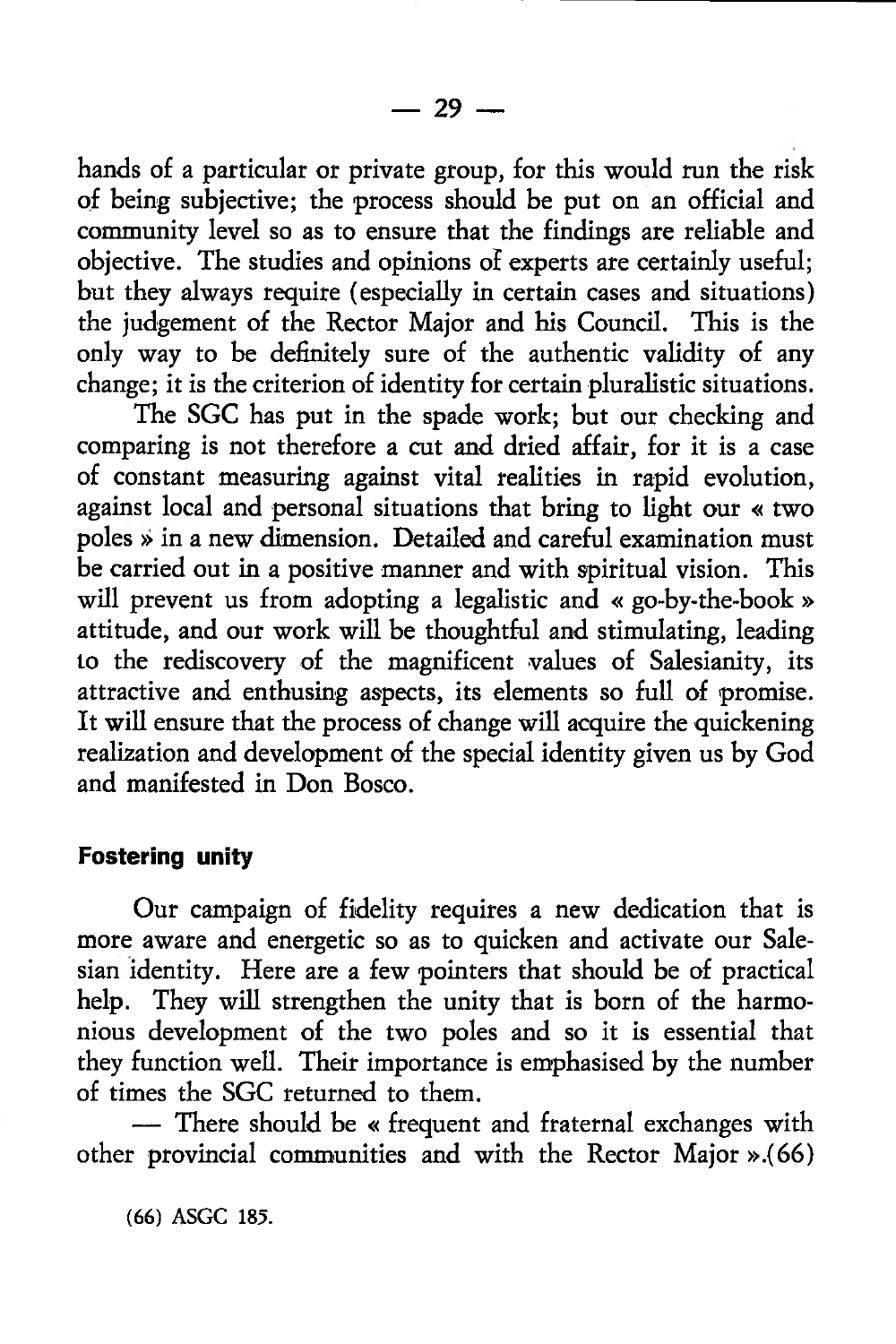hands of a particular or private group, for this would run the risk of being subjective; the process should be put on an official and community level so as to ensure that the findings are reliable and objective. The studies and opinions of experts are certainly useful; but they always require (especially in certain cases and situations) the judgement of the Rector Major and his Council. This is the only way to be definitely sure of the authentic validity of any change; it is the criterion of identity for certain pluralistic situations.

The SGC has put in the spade work; but our checking and comparing is not therefore a cut and dried affair, for it is a case of constant measuring against vital realities in rapid evolution, against local and personal situations that bring to light our « two poles *»* in a new dimension. Detailed and careful examination must be carried out in a positive manner and with spiritual vision. This will prevent us from adopting a legalistic and « go-by-the-book » attitude, and our work will be thoughtful and stimulating, leading to the rediscovery of the magnificent values of Salesianity, its attractive and enthusing aspects, its elements so full of promise. It will ensure that the process of change will acquire the quickening realization and development of the special identity given us by God and manifested in Don Bosco.

## **Fostering unity**

Our campaign of fidelity requires a new dedication that is more aware and energetic so as to quicken and activate our Salesian identity. Here are a few pointers that should be of practical help. They will strengthen the unity that is born of the harmonious development of the two poles and so it is essential that they function well. Their importance is emphasised by the number of times the SGC returned to them.

— There should be « frequent and fraternal exchanges with other provincial communities and with the Rector Major ».(66)

(66) ASGC 185.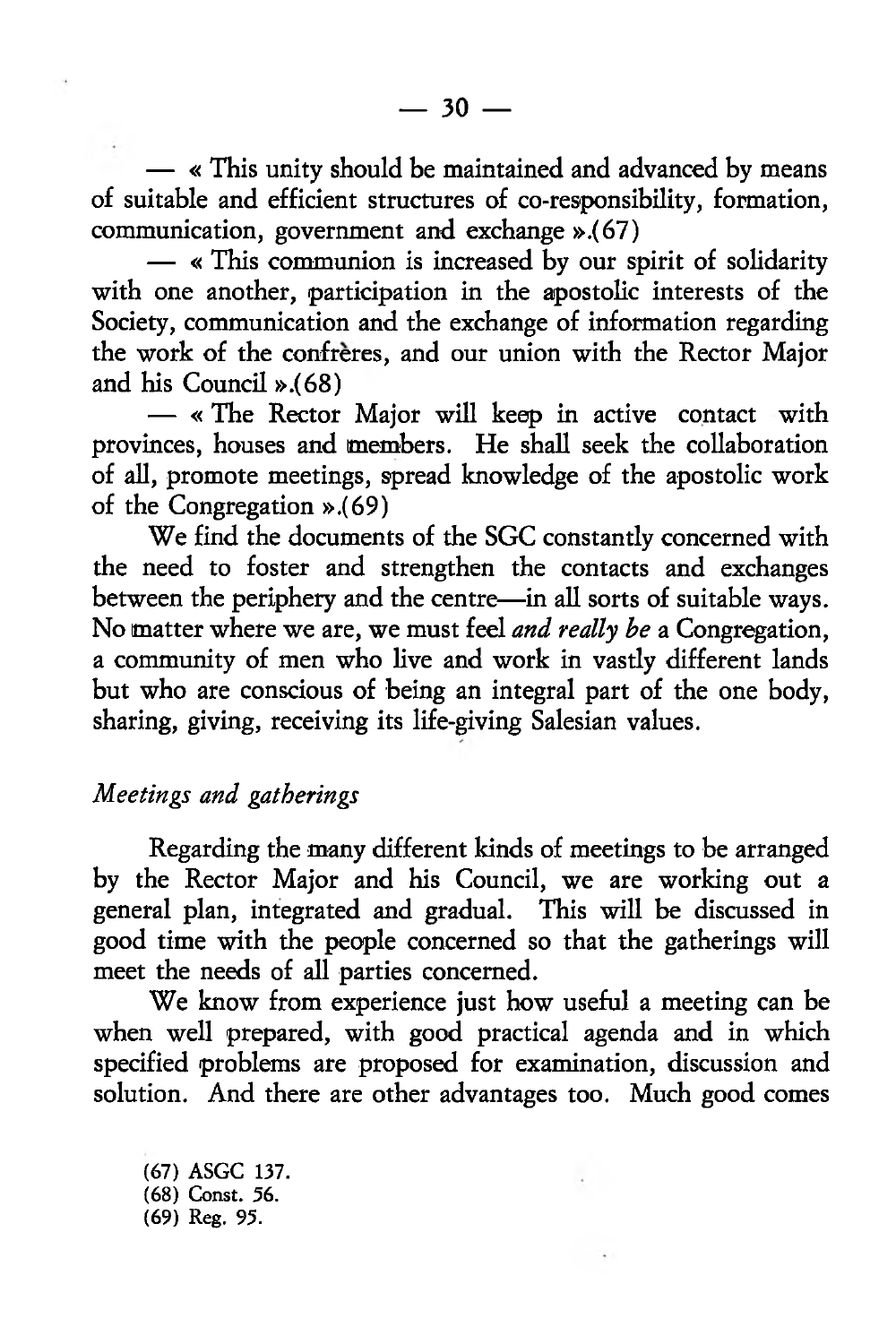— « This unity should be maintained and advanced by means of suitable and efficient structures of co-responsibility, formation, communication, government and exchange ».(67)

— « This communion is increased by our spirit of solidarity with one another, participation in the apostolic interests of the Society, communication and the exchange of information regarding the work of the confreres, and our union with the Rector Major and his Council ».(68)

— « The Rector Major will keep in active contact with provinces, houses and members. He shall seek the collaboration of all, promote meetings, spread knowledge of the apostolic work of the Congregation ».(69)

We find the documents of the SGC constantly concerned with the need to foster and strengthen the contacts and exchanges between the periphery and the centre—in all sorts of suitable ways. No matter where we are, we must feel *and really be* a Congregation, a community of men who live and work in vastly different lands but who are conscious of being an integral part of the one body, sharing, giving, receiving its life-giving Salesian values.

## *Meetings and gatherings*

Regarding the many different kinds of meetings to be arranged by the Rector Major and his Council, we are working out a general plan, integrated and gradual. This will be discussed in good time with the people concerned so that the gatherings will meet the needs of all parties concerned.

We know from experience just how useful a meeting can be when well prepared, with good practical agenda and in which specified problems are proposed for examination, discussion and solution. And there are other advantages too. Much good comes

(67) ASGC 137. (68) Const. 56. (69) Reg. 95.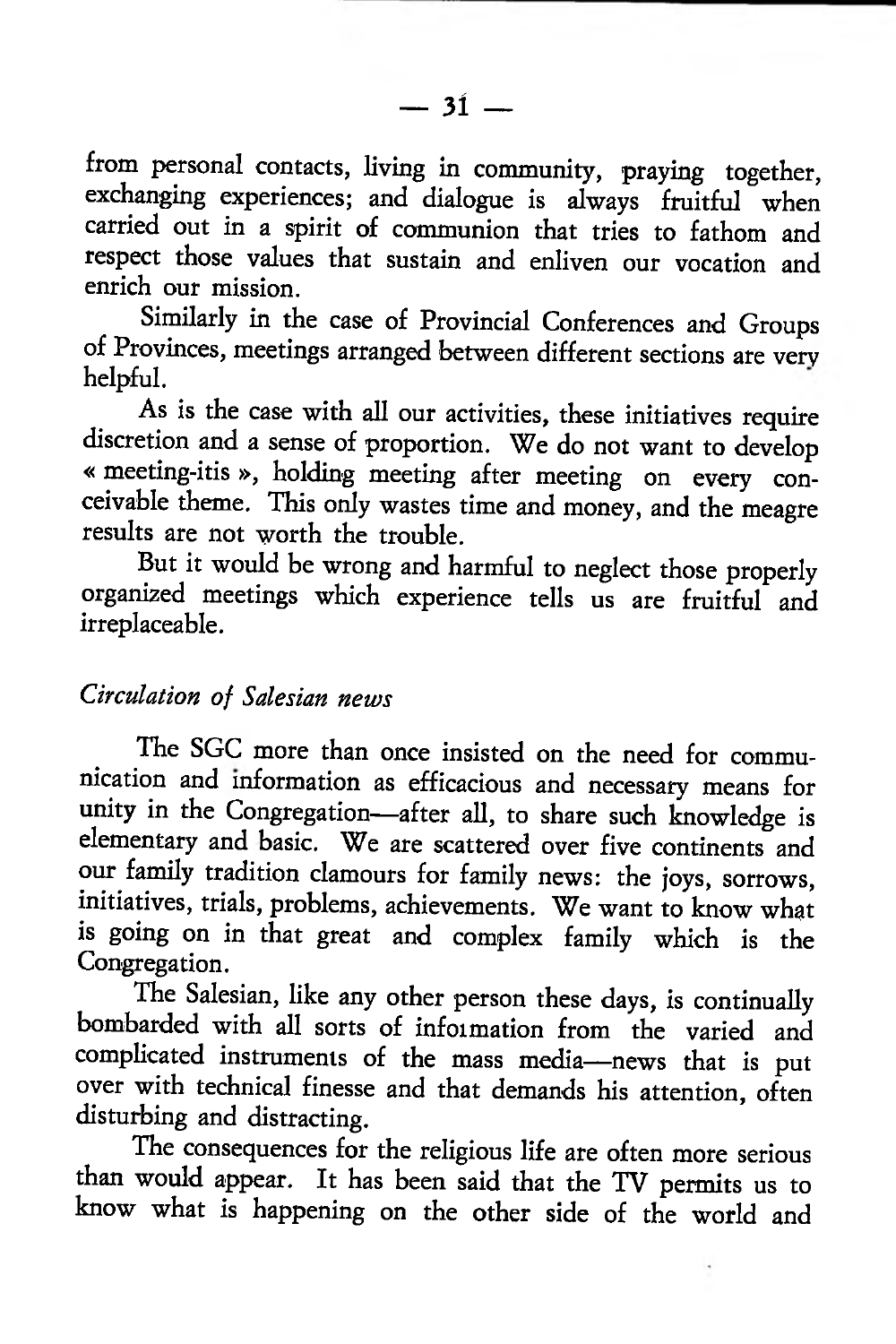from personal contacts, living in community, praying together, exchanging experiences; and dialogue is always fruitful when carried out in a spirit of communion that tries to fathom and respect those values that sustain and enliven our vocation and enrich our mission.

Similarly in the case of Provincial Conferences and Groups of Provinces, meetings arranged between different sections are very helpful.

As is the case with all our activities, these initiatives require discretion and a sense of proportion. We do not want to develop « meeting-itis », holding meeting after meeting on every conceivable theme. This only wastes time and money, and the meagre results are not worth the trouble.

But it would be wrong and harmful to neglect those properly organized meetings which experience tells us are fruitful and irreplaceable.

## *Circulation of Salesian news*

The SGC more than once insisted on the need for communication and information as efficacious and necessary means for unity in the Congregation—after all, to share such knowledge is elementary and basic. We are scattered over five continents and our family tradition clamours for family news: the joys, sorrows, initiatives, trials, problems, achievements. We want to know what is going on in that great and complex family which is the Congregation.

The Salesian, like any other person these days, is continually bombarded with all sorts of information from the varied and complicated instruments of the mass media—news that is put over with technical finesse and that demands his attention, often disturbing and distracting.

The consequences for the religious life are often more serious than would appear. It has been said that the TV permits us to know what is happening on the other side of the world and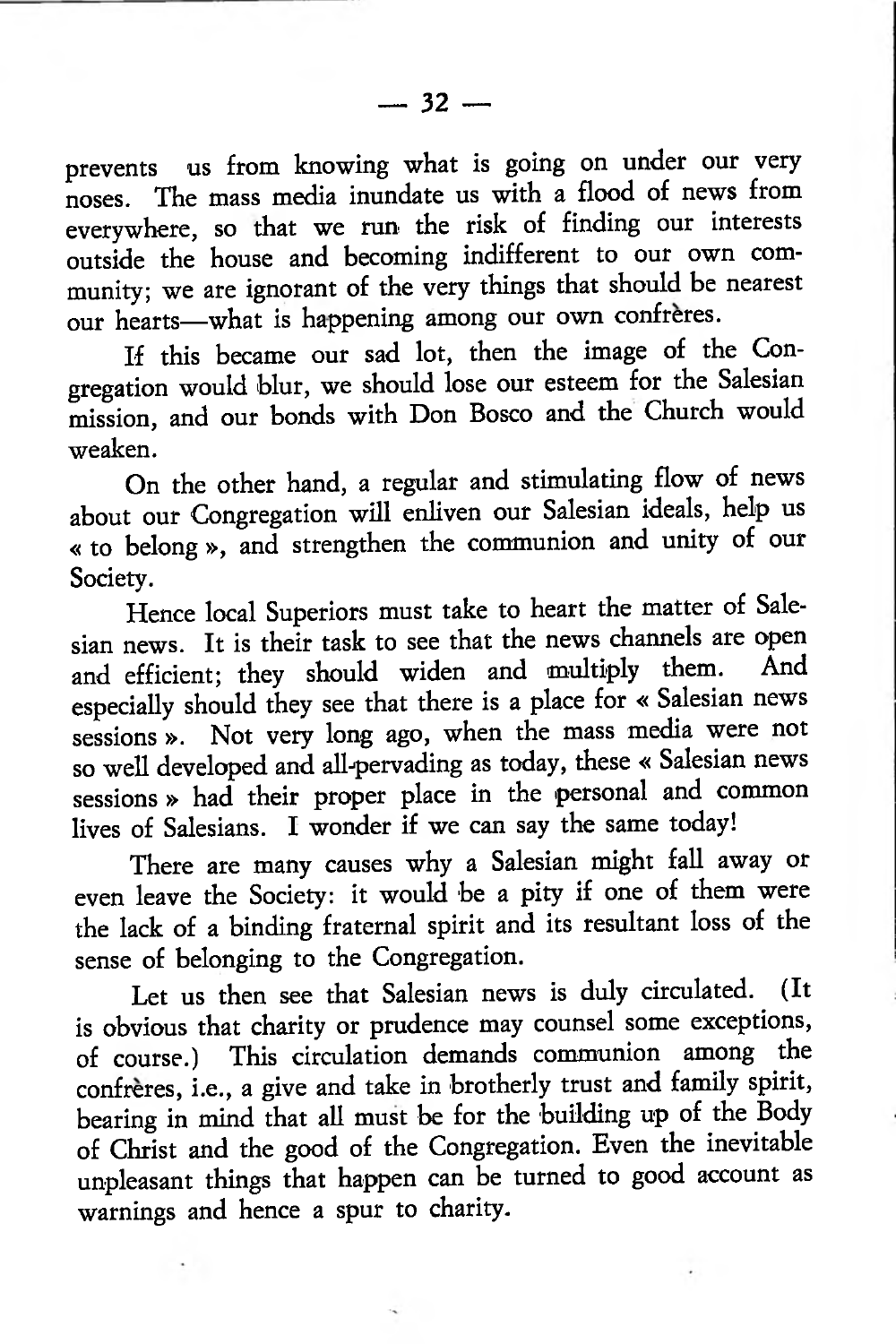prevents us from knowing what is going on under our very noses. The mass media inundate us with a flood of news from everywhere, so that we run the risk of finding our interests outside the house and becoming indifferent to our own community; we are ignorant of the very things that should be nearest our hearts—what is happening among our own confreres.

If this became our sad lot, then the image of the Congregation would blur, we should lose our esteem for the Salesian mission, and our bonds with Don Bosco and the Church would weaken.

On the other hand, a regular and stimulating flow of news about our Congregation will enliven our Salesian ideals, help us « to belong », and strengthen the communion and unity of our Society.

Hence local Superiors must take to heart the matter of Salesian news. It is their task to see that the news channels are open and efficient; they should widen and multiply them. especially should they see that there is a place for « Salesian news sessions ». Not very long ago, when the mass media were not so well developed and all-pervading as today, these « Salesian news sessions » had their proper place in the personal and common lives of Salesians. I wonder if we can say the same today!

There are many causes why a Salesian might fall away or even leave the Society: it would be a pity if one of them were the lack of a binding fraternal spirit and its resultant loss of the sense of belonging to the Congregation.

Let us then see that Salesian news is duly circulated. (It is obvious that charity or prudence may counsel some exceptions, of course.) This circulation demands communion among the confreres, i.e., a give and take in brotherly trust and family spirit, bearing in mind that all must be for the building up of the Body of Christ and the good of the Congregation. Even the inevitable unpleasant things that happen can be turned to good account as warnings and hence a spur to charity.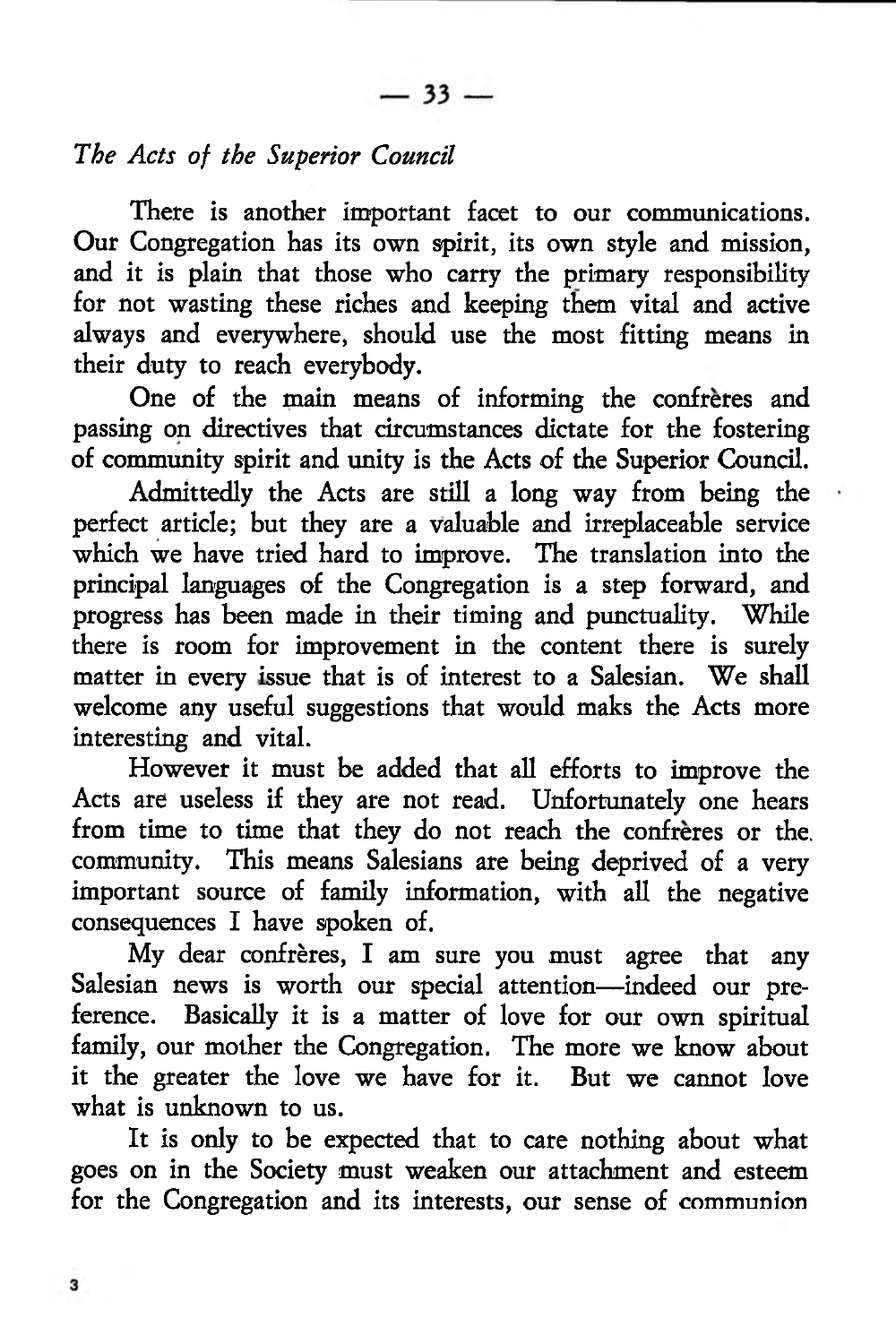## *The Acts of the Superior Council*

There is another important facet to our communications. Our Congregation has its own spirit, its own style and mission, and it is plain that those who carry the primary responsibility for not wasting these riches and keeping them vital and active always and everywhere, should use the most fitting means in their duty to reach everybody.

One of the main means of informing the confreres and passing on directives that circumstances dictate for the fostering of community spirit and unity is the Acts of the Superior Council.

Admittedly the Acts are still a long way from being the perfect article; but they are a valuable and irreplaceable service which we have tried hard to improve. The translation into the principal languages of the Congregation is a step forward, and progress has been made in their timing and punctuality. While there is room for improvement in the content there is surely matter in every issue that is of interest to a Salesian. We shall welcome any useful suggestions that would maks the Acts more interesting and vital.

However it must be added that all efforts to improve the Acts are useless if they are not read. Unfortunately one hears from time to time that they do not reach the confreres or the. community. This means Salesians are being deprived of a very important source of family information, with all the negative consequences I have spoken of.

My dear confrères, I am sure you must agree that any Salesian news is worth our special attention—indeed our preference. Basically it is a matter of love for our own spiritual family, our mother the Congregation. The more we know about it the greater the love we have for it. But we cannot love what is unknown to us.

It is only to be expected that to care nothing about what goes on in the Society must weaken our attachment and esteem for the Congregation and its interests, our sense of communion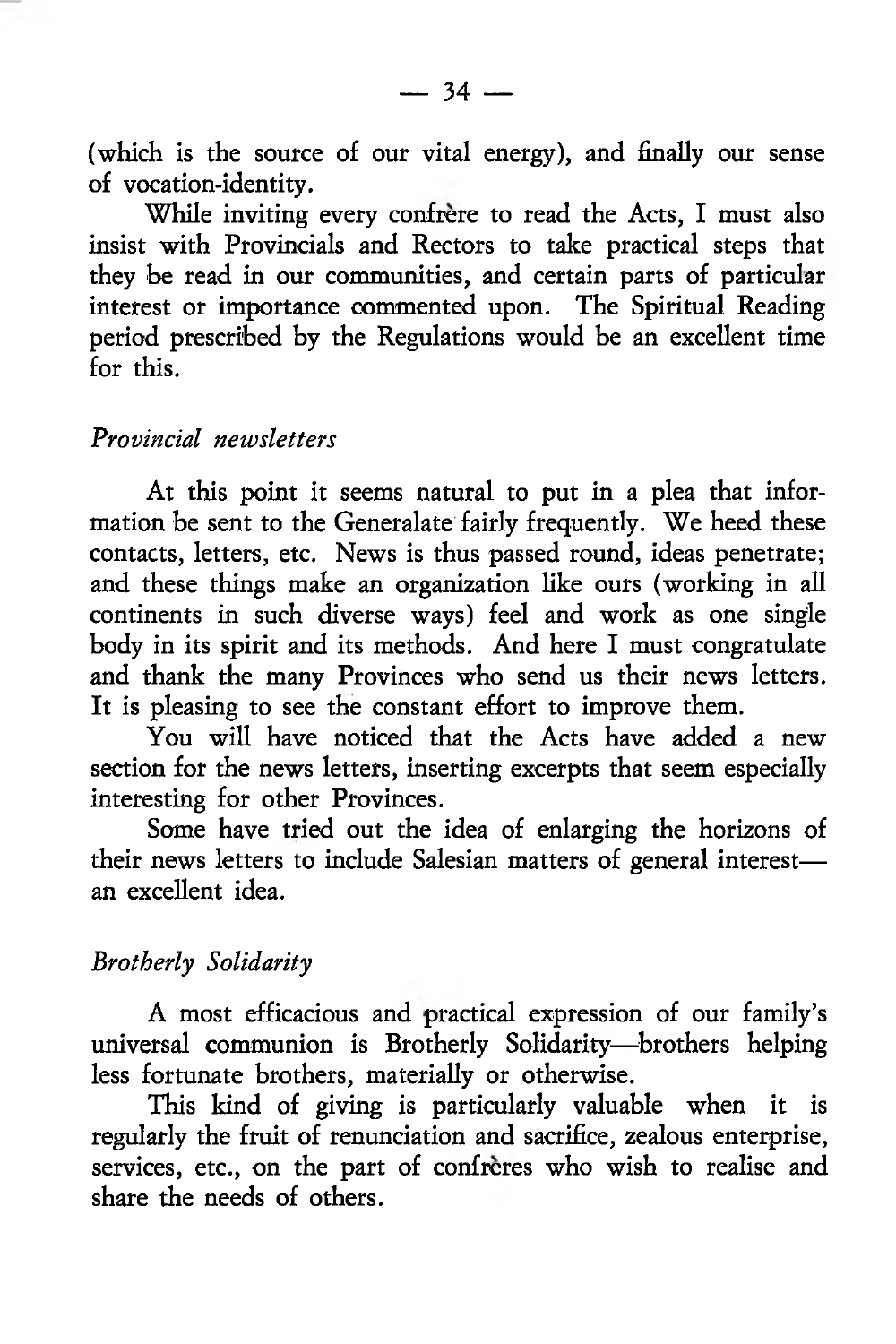$-34 -$ 

(which is the source of our vital energy), and finally our sense of vocation-identity.

While inviting every confrere to read the Acts, I must also insist with Provincials and Rectors to take practical steps that they be read in our communities, and certain parts of particular interest or importance commented upon. The Spiritual Reading period prescribed by the Regulations would be an excellent time for this.

## *Provincial newsletters*

At this point it seems natural to put in a plea that information be sent to the Generalate fairly frequently. We heed these contacts, letters, etc. News is thus passed round, ideas penetrate; and these things make an organization like ours (working in all continents in such diverse ways) feel and work as one single body in its spirit and its methods. And here I must congratulate and thank the many Provinces who send us their news letters. It is pleasing to see the constant effort to improve them.

You will have noticed that the Acts have added a new section for the news letters, inserting excerpts that seem especially interesting for other Provinces.

Some have tried out the idea of enlarging the horizons of their news letters to include Salesian matters of general interest an excellent idea.

## *Brotherly Solidarity*

A most efficacious and practical expression of our family's universal communion is Brotherly Solidarity—brothers helping less fortunate brothers, materially or otherwise.

This kind of giving is particularly valuable when it is regularly the fruit of renunciation and sacrifice, zealous enterprise, services, etc., on the part of confreres who wish to realise and share the needs of others.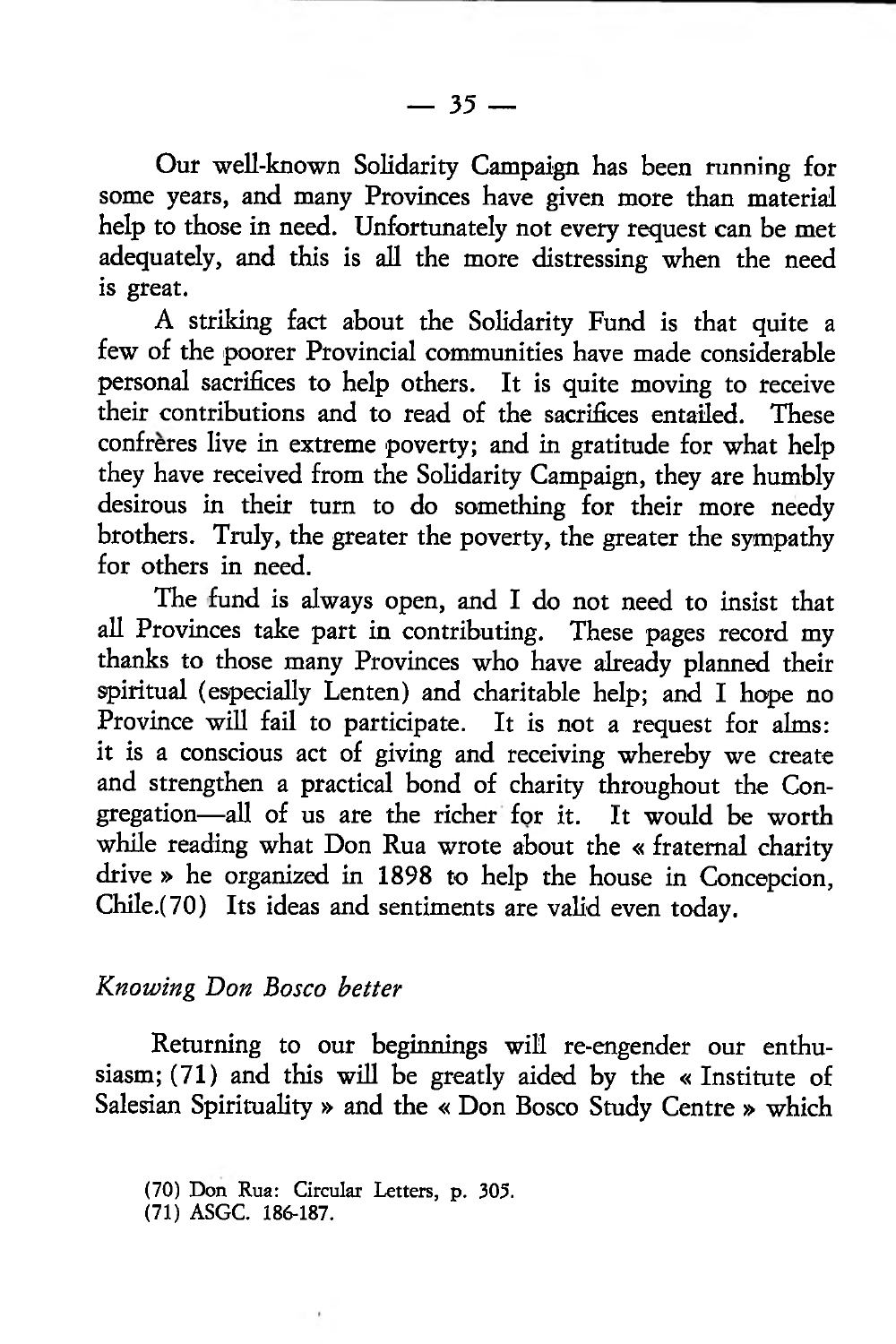Our well-known Solidarity Campaign has been running for some years, and many Provinces have given more than material help to those in need. Unfortunately not every request can be met adequately, and this is all the more distressing when the need is great.

A striking fact about the Solidarity Fund is that quite a few of the poorer Provincial communities have made considerable personal sacrifices to help others. It is quite moving to receive their contributions and to read of the sacrifices entailed. These confrères live in extreme poverty; and in gratitude for what help they have received from the Solidarity Campaign, they are humbly desirous in their turn to do something for their more needy brothers. Truly, the greater the poverty, the greater the sympathy for others in need.

The fund is always open, and I do not need to insist that all Provinces take part in contributing. These pages record my thanks to those many Provinces who have already planned their spiritual (especially Lenten) and charitable help; and I hope no Province will fail to participate. It is not a request for alms: it is a conscious act of giving and receiving whereby we create and strengthen a practical bond of charity throughout the Congregation—all of us are the richer for it. It would be worth while reading what Don Rua wrote about the « fraternal charity drive » he organized in 1898 to help the house in Concepcion, Chile.(70) Its ideas and sentiments are valid even today.

## *Knowing Don Bosco better*

Returning to our beginnings will re-engender our enthusiasm; (71) and this will be greatly aided by the « Institute of Salesian Spirituality » and the « Don Bosco Study Centre » which

<sup>(70)</sup> Don Rua: Circular Letters, p. 305.

<sup>(71)</sup> ASGC. 186-187.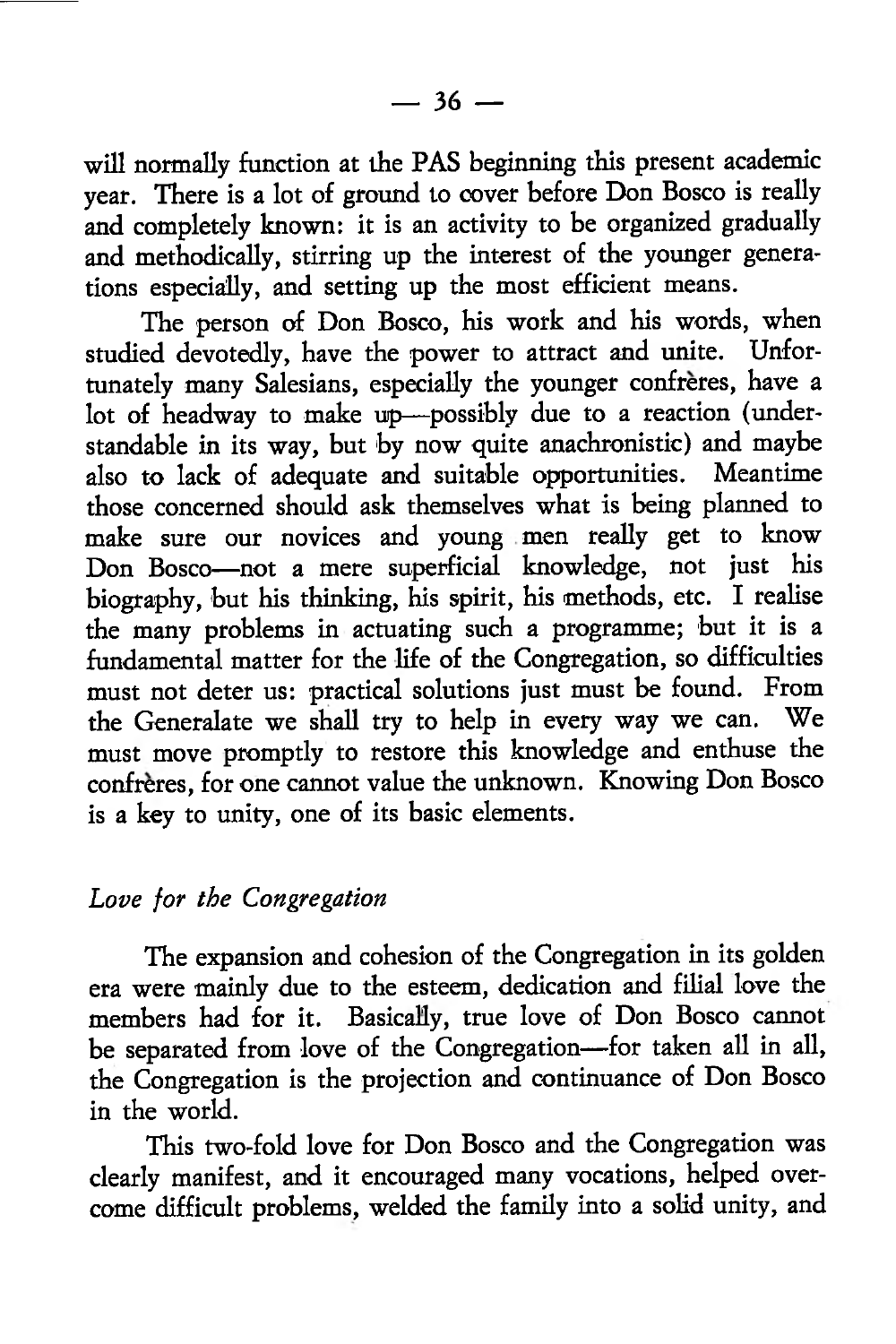will normally function at the PAS beginning this present academic year. There is a lot of ground to cover before Don Bosco is really and completely known: it is an activity to be organized gradually and methodically, stirring up the interest of the younger generations especially, and setting up the most efficient means.

The person of Don Bosco, his work and his words, when studied devotedly, have the power to attract and unite. Unfortunately many Salesians, especially the younger confreres, have a lot of headway to make up—possibly due to a reaction (understandable in its way, but by now quite anachronistic) and maybe<br>also to lack of adequate and suitable opportunities. Meantime also to lack of adequate and suitable opportunities. those concerned should ask themselves what is being planned to make sure our novices and young men really get to know Don Bosco—not a mere superficial knowledge, not just his biography, but his thinking, his spirit, his methods, etc. I realise the many problems in actuating such a programme; but it is a fundamental matter for the life of the Congregation, so difficulties must not deter us: practical solutions just must be found. From the Generalate we shall try to help in every way we can. We must move promptly to restore this knowledge and enthuse the confreres, for one cannot value the unknown. Knowing Don Bosco is a key to unity, one of its basic elements.

## *Love for the Congregation*

The expansion and cohesion of the Congregation in its golden era were mainly due to the esteem, dedication and filial love the members had for it. Basically, true love of Don Bosco cannot be separated from love of the Congregation—for taken all in all, the Congregation is the projection and continuance of Don Bosco in the world.

This two-fold love for Don Bosco and the Congregation was clearly manifest, and it encouraged many vocations, helped overcome difficult problems, welded the family into a solid unity, and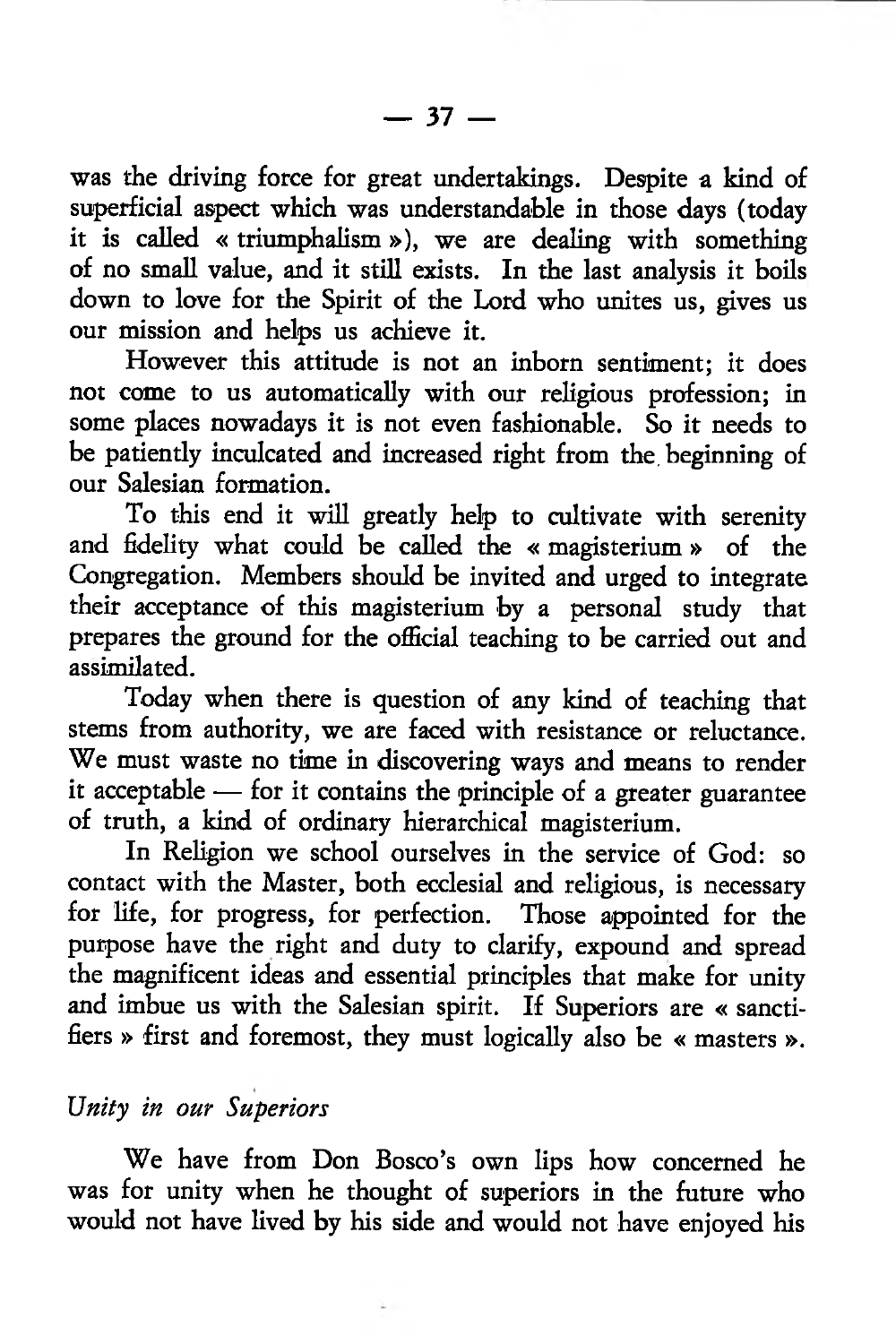was the driving force for great undertakings. Despite a kind of superficial aspect which was understandable in those days (today it is called « triumphalism »), we are dealing with something of no small value, and it still exists. In the last analysis it boils down to love for the Spirit of the Lord who unites us, gives us our mission and helps us achieve it.

However this attitude is not an inborn sentiment; it does not come to us automatically with our religious profession; in some places nowadays it is not even fashionable. So it needs to be patiently inculcated and increased right from the. beginning of our Salesian formation.

To this end it will greatly help to cultivate with serenity and fidelity what could be called the « magisterium » of the Congregation. Members should be invited and urged to integrate their acceptance of this magisterium by a personal study that prepares the ground for the official teaching to be carried out and assimilated.

Today when there is question of any kind of teaching that stems from authority, we are faced with resistance or reluctance. We must waste no time in discovering ways and means to render it acceptable — for it contains the principle of a greater guarantee of truth, a kind of ordinary hierarchical magisterium.

In Religion we school ourselves in the service of God: so contact with the Master, both ecclesial and religious, is necessary for life, for progress, for perfection. Those appointed for the purpose have the right and duty to clarify, expound and spread the magnificent ideas and essential principles that make for unity and imbue us with the Salesian spirit. If Superiors are « sanctifiers » first and foremost, they must logically also be « masters ».

## *Unity in our Superiors*

We have from Don Bosco's own lips how concerned he was for unity when he thought of superiors in the future who would not have lived by his side and would not have enjoyed his